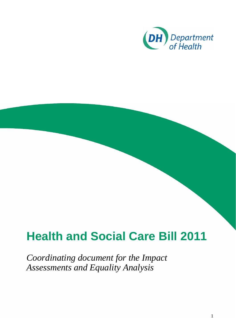

# **Health and Social Care Bill 2011**

*Coordinating document for the Impact Assessments and Equality Analysis*

1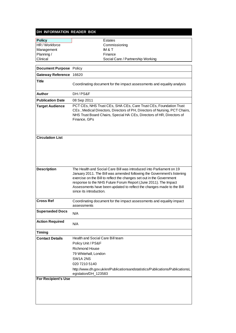|  | DH INFORMATION READER BOX |
|--|---------------------------|
|  |                           |

| <b>Policy</b>                  | Estates                                                                                                                                                                                                                                                                                                                                                                                         |
|--------------------------------|-------------------------------------------------------------------------------------------------------------------------------------------------------------------------------------------------------------------------------------------------------------------------------------------------------------------------------------------------------------------------------------------------|
| HR / Workforce                 | Commissioning                                                                                                                                                                                                                                                                                                                                                                                   |
| Management                     | IM & T                                                                                                                                                                                                                                                                                                                                                                                          |
| Planning /                     | Finance                                                                                                                                                                                                                                                                                                                                                                                         |
| Clinical                       | Social Care / Partnership Working                                                                                                                                                                                                                                                                                                                                                               |
| <b>Document Purpose</b> Policy |                                                                                                                                                                                                                                                                                                                                                                                                 |
| Gateway Reference 16620        |                                                                                                                                                                                                                                                                                                                                                                                                 |
|                                |                                                                                                                                                                                                                                                                                                                                                                                                 |
| <b>Title</b>                   | Coordinating document for the impact assessments and equality analysis                                                                                                                                                                                                                                                                                                                          |
| <b>Author</b>                  | DH/PS&F                                                                                                                                                                                                                                                                                                                                                                                         |
| <b>Publication Date</b>        | 08 Sep 2011                                                                                                                                                                                                                                                                                                                                                                                     |
| <b>Target Audience</b>         | PCT CEs, NHS Trust CEs, SHA CEs, Care Trust CEs, Foundation Trust<br>CEs, Medical Directors, Directors of PH, Directors of Nursing, PCT Chairs,<br>NHS Trust Board Chairs, Special HA CEs, Directors of HR, Directors of<br>Finance, GPs                                                                                                                                                        |
| <b>Circulation List</b>        |                                                                                                                                                                                                                                                                                                                                                                                                 |
| <b>Description</b>             | The Health and Social Care Bill was introduced into Parliament on 19<br>January 2011. The Bill was amended following the Government's listening<br>exercise on the Bill to reflect the changes set out in the Government<br>response to the NHS Future Forum Report (June 2011). The Impact<br>Assessments have been updated to reflect the changes made to the Bill<br>since its introduction. |
| <b>Cross Ref</b>               | Coordinating document for the impact assessments and equality impact<br>assessments                                                                                                                                                                                                                                                                                                             |
| <b>Superseded Docs</b>         | N/A                                                                                                                                                                                                                                                                                                                                                                                             |
| <b>Action Required</b>         | N/A                                                                                                                                                                                                                                                                                                                                                                                             |
| <b>Timing</b>                  |                                                                                                                                                                                                                                                                                                                                                                                                 |
| <b>Contact Details</b>         | Health and Social Care Bill team                                                                                                                                                                                                                                                                                                                                                                |
|                                | Policy Unit / PS&F                                                                                                                                                                                                                                                                                                                                                                              |
|                                | <b>Richmond House</b>                                                                                                                                                                                                                                                                                                                                                                           |
|                                | 79 Whitehall, London                                                                                                                                                                                                                                                                                                                                                                            |
|                                | SW1A 2NS                                                                                                                                                                                                                                                                                                                                                                                        |
|                                | 020 7210 5140                                                                                                                                                                                                                                                                                                                                                                                   |
|                                | http://www.dh.gov.uk/en/Publicationsandstatistics/Publications/PublicationsL<br>egislation/DH_123583                                                                                                                                                                                                                                                                                            |
| <b>For Recipient's Use</b>     |                                                                                                                                                                                                                                                                                                                                                                                                 |
|                                |                                                                                                                                                                                                                                                                                                                                                                                                 |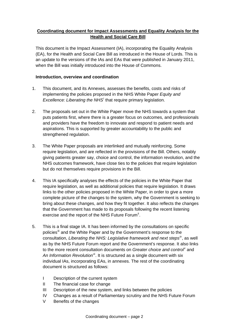## **Coordinating document for Impact Assessments and Equality Analysis for the Health and Social Care Bill**

This document is the Impact Assessment (IA), incorporating the Equality Analysis (EA), for the Health and Social Care Bill as introduced in the House of Lords. This is an update to the versions of the IAs and EAs that were published in January 2011, when the Bill was initially introduced into the House of Commons.

## **Introduction, overview and coordination**

- 1. This document, and its Annexes, assesses the benefits, costs and risks of implementing the policies proposed in the NHS White Paper *Equity and*  Excellence: L[i](#page-60-0)berating the NHS<sup>i</sup> that require primary legislation.
- 2. The proposals set out in the White Paper move the NHS towards a system that puts patients first, where there is a greater focus on outcomes, and professionals and providers have the freedom to innovate and respond to patient needs and aspirations. This is supported by greater accountability to the public and strengthened regulation.
- 3. The White Paper proposals are interlinked and mutually reinforcing. Some require legislation, and are reflected in the provisions of the Bill. Others, notably giving patients greater say, choice and control, the information revolution, and the NHS outcomes framework, have close ties to the policies that require legislation but do not themselves require provisions in the Bill.
- 4. This IA specifically analyses the effects of the policies in the White Paper that require legislation, as well as additional policies that require legislation. It draws links to the other policies proposed in the White Paper, in order to give a more complete picture of the changes to the system, why the Government is seeking to bring about these changes, and how they fit together. It also reflects the changes that the Government has made to its proposals following the recent listening exercise and the report of the NHS Future Forum<sup>[ii](#page-60-1)</sup>.
- 5. This is a final stage IA. It has been informed by the consultations on specific policies<sup>[iii](#page-60-1)</sup> and the White Paper and by the Government's response to the consultation, *Liberating the NHS: Legislative framework and next steps[iv](#page-60-1)*, as well as by the NHS Future Forum report and the Government's response. It also links to the more recent consultation documents on *Greater choice and control*<sup>\*</sup> and An Information Revolution<sup>[vi](#page-60-1)</sup>. It is structured as a single document with six individual IAs, incorporating EAs, in annexes. The rest of the coordinating document is structured as follows:
	- I Description of the current system
	- II The financial case for change
	- III Description of the new system, and links between the policies
	- IV Changes as a result of Parliamentary scrutiny and the NHS Future Forum
	- V Benefits of the changes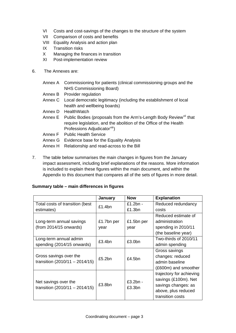- VI Costs and cost-savings of the changes to the structure of the system
- VII Comparison of costs and benefits
- VIII Equality Analysis and action plan
- IX Transition risks
- X Managing the finances in transition
- XI Post-implementation review
- 6. The Annexes are:

|         | Annex A Commissioning for patients (clinical commissioning groups and the<br>NHS Commissioning Board)                                                                                        |
|---------|----------------------------------------------------------------------------------------------------------------------------------------------------------------------------------------------|
|         | Annex B Provider regulation                                                                                                                                                                  |
|         | Annex C Local democratic legitimacy (including the establishment of local                                                                                                                    |
|         | health and wellbeing boards)                                                                                                                                                                 |
| Annex D | HealthWatch                                                                                                                                                                                  |
|         | Annex E Public Bodies (proposals from the Arm's-Length Body Review <sup>vii</sup> that<br>require legislation, and the abolition of the Office of the Health<br>Professions Adjudicatorviii) |
|         | Annex F Public Health Service                                                                                                                                                                |
|         | Annex G Evidence base for the Equality Analysis                                                                                                                                              |
| Annex H | Relationship and read-across to the Bill                                                                                                                                                     |

7. The table below summarises the main changes in figures from the January impact assessment, including brief explanations of the reasons. More information is included to explain these figures within the main document, and within the Appendix to this document that compares all of the sets of figures in more detail.

## **Summary table – main differences in figures**

|                                                            | <b>January</b> | <b>Now</b>           | <b>Explanation</b>                                                                                                 |
|------------------------------------------------------------|----------------|----------------------|--------------------------------------------------------------------------------------------------------------------|
| Total costs of transition (best                            | £1.4bn         | $£1.2bn -$           | Reduced redundancy                                                                                                 |
| estimates)                                                 |                | £1.3bn               | costs                                                                                                              |
|                                                            |                |                      | Reduced estimate of                                                                                                |
| Long-term annual savings                                   | £1.7bn per     | £1.5bn per           | administration                                                                                                     |
| $(from 2014/15$ onwards)                                   | year           | year                 | spending in 2010/11                                                                                                |
|                                                            |                |                      | (the baseline year)                                                                                                |
| Long-term annual admin                                     | £3.4bn         | £3.0bn               | Two-thirds of 2010/11                                                                                              |
| spending (2014/15 onwards)                                 |                |                      | admin spending                                                                                                     |
| Gross savings over the<br>transition $(2010/11 - 2014/15)$ | £5.2bn         | £4.5 $bn$            | Gross savings<br>changes: reduced<br>admin baseline<br>(£600m) and smoother                                        |
| Net savings over the<br>transition $(2010/11 - 2014/15)$   | £3.8bn         | $£3.2bn -$<br>£3.3bn | trajectory for achieving<br>savings (£100m). Net<br>savings changes: as<br>above, plus reduced<br>transition costs |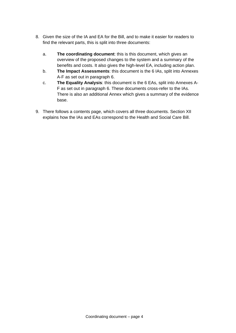- 8. Given the size of the IA and EA for the Bill, and to make it easier for readers to find the relevant parts, this is split into three documents:
	- a. **The coordinating document**: this is this document, which gives an overview of the proposed changes to the system and a summary of the benefits and costs. It also gives the high-level EA, including action plan.
	- b. **The Impact Assessments**: this document is the 6 IAs, split into Annexes A-F as set out in paragraph 6.
	- c. **The Equality Analysis**: this document is the 6 EAs, split into Annexes A-F as set out in paragraph 6. These documents cross-refer to the IAs. There is also an additional Annex which gives a summary of the evidence base.
- 9. There follows a contents page, which covers all three documents. Section XII explains how the IAs and EAs correspond to the Health and Social Care Bill.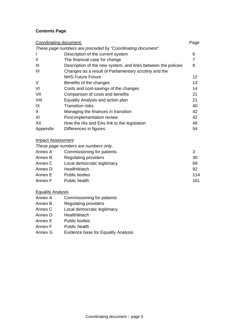## **Contents Page**

|                          | Coordinating document:                                        | Page |
|--------------------------|---------------------------------------------------------------|------|
|                          | These page numbers are preceded by "Coordinating document".   |      |
| I                        | Description of the current system                             | 6    |
| $\mathbf{I}$             | The financial case for change                                 | 7    |
| $\mathbf{III}$           | Description of the new system, and links between the policies | 8    |
| IV                       | Changes as a result of Parliamentary scrutiny and the         |      |
|                          | <b>NHS Future Forum</b>                                       | 12   |
| $\vee$                   | Benefits of the changes                                       | 13   |
| VI                       | Costs and cost-savings of the changes                         | 14   |
| VII                      | Comparison of costs and benefits                              | 21   |
| VIII                     | Equality Analysis and action plan                             | 21   |
| IX                       | <b>Transition risks</b>                                       | 40   |
| X                        | Managing the finances in transition                           | 42   |
| XI                       | Post-implementation review                                    | 42   |
| XII                      | How the IAs and EAs link to the legislation                   | 46   |
| Appendix                 | Differences in figures                                        | 54   |
| <b>Impact Assessment</b> |                                                               |      |
|                          | These page numbers are numbers only.                          |      |

|         | <b>THE COUPLE OF STRAIN STRAIN SERVICE STRAIN</b> |     |
|---------|---------------------------------------------------|-----|
| Annex A | Commissioning for patients                        | 3   |
| Annex B | Regulating providers                              | 30  |
| Annex C | Local democratic legitimacy                       | 69  |
| Annex D | <b>HealthWatch</b>                                | 92  |
| Annex E | <b>Public bodies</b>                              | 114 |
| Annex F | Public health                                     | 161 |

#### **Equality Analysis**

- Annex A Commissioning for patients
- Annex B Regulating providers
- Annex C Local democratic legitimacy
- Annex D HealthWatch
- Annex E Public bodies
- Annex F Public health
- Annex G Evidence base for Equality Analysis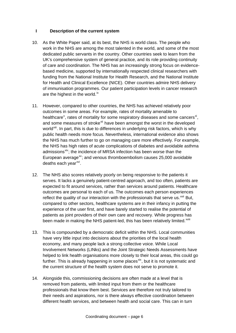### **I Description of the current system**

- 10. As the White Paper said, at its best, the NHS is world class. The people who work in the NHS are among the most talented in the world, and some of the most dedicated public servants in the country. Other countries seek to learn from the UK's comprehensive system of general practice, and its role providing continuity of care and coordination. The NHS has an increasingly strong focus on evidencebased medicine, supported by internationally respected clinical researchers with funding from the National Institute for Health Research, and the National Institute for Health and Clinical Excellence (NICE). Other countries admire NHS delivery of immunisation programmes. Our patient participation levels in cancer research are the highest in the world.<sup>[ix](#page-60-1)</sup>
- 11. However, compared to other countries, the NHS has achieved relatively poor outcomes in some areas. For example, rates of mortality amenable to healthcare<sup>[x](#page-60-1)</sup>, rates of mortality for some respiratory diseases and some cancers<sup>[xi](#page-60-1)</sup>, and some measures of stroke<sup>[xii](#page-60-1)</sup> have been amongst the worst in the developed world<sup>[xiii](#page-60-1)</sup>. In part, this is due to differences in underlying risk factors, which is why public health needs more focus. Nevertheless, international evidence also shows the NHS has much further to go on managing care more effectively. For example, the NHS has high rates of acute complications of diabetes and avoidable asthma admissions<sup>[xiv](#page-60-1)</sup>; the incidence of MRSA infection has been worse than the European average $x$ ; and venous thromboembolism causes 25,000 avoidable deaths each year $^{xvi}$  $^{xvi}$  $^{xvi}$ .
- 12. The NHS also scores relatively poorly on being responsive to the patients it serves. It lacks a genuinely patient-centred approach, and too often, patients are expected to fit around services, rather than services around patients. Healthcare outcomes are personal to each of us. The outcomes each person experiences reflect the quality of our interaction with the professionals that serve us.  $^{xvi}$  But, compared to other sectors, healthcare systems are in their infancy in putting the experience of the user first, and have barely started to realise the potential of patients as joint providers of their own care and recovery. While progress has been made in making the NHS patient-led, this has been relatively limited.<sup>[xviii](#page-60-1)</sup>
- 13. This is compounded by a democratic deficit within the NHS. Local communities have very little input into decisions about the priorities of the local health economy, and many people lack a strong collective voice. While Local Involvement Networks (LINks) and the Joint Strategic Needs Assessments have helped to link health organisations more closely to their local areas, this could go further. This is already happening in some places $x$ <sup>ix</sup>, but it is not systematic and the current structure of the health system does not serve to promote it.
- 14. Alongside this, commissioning decisions are often made at a level that is removed from patients, with limited input from them or the healthcare professionals that know them best. Services are therefore not truly tailored to their needs and aspirations, nor is there always effective coordination between different health services, and between health and social care. This can in turn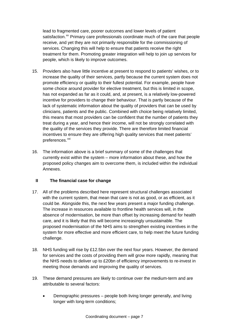lead to fragmented care, poorer outcomes and lower levels of patient satisfaction.<sup>xx</sup> Primary care professionals coordinate much of the care that people receive, and yet they are not primarily responsible for the commissioning of services. Changing this will help to ensure that patients receive the right treatment for them. Promoting greater integration will help to join up services for people, which is likely to improve outcomes.

- 15. Providers also have little incentive at present to respond to patients' wishes, or to increase the quality of their services, partly because the current system does not promote efficiency or quality to their fullest potential. For example, people have some choice around provider for elective treatment, but this is limited in scope, has not expanded as far as it could, and, at present, is a relatively low-powered incentive for providers to change their behaviour. That is partly because of the lack of systematic information about the quality of providers that can be used by clinicians, patients and the public. Combined with choice being relatively limited, this means that most providers can be confident that the number of patients they treat during a year, and hence their income, will not be strongly correlated with the quality of the services they provide. There are therefore limited financial incentives to ensure they are offering high quality services that meet patients' preferences.<sup>[xxi](#page-60-1)</sup>
- 16. The information above is a brief summary of some of the challenges that currently exist within the system – more information about these, and how the proposed policy changes aim to overcome them, is included within the individual Annexes.

### **II The financial case for change**

- 17. All of the problems described here represent structural challenges associated with the current system, that mean that care is not as good, or as efficient, as it could be. Alongside this, the next few years present a major funding challenge. The increase in resources available to frontline health services will, in the absence of modernisation, be more than offset by increasing demand for health care, and it is likely that this will become increasingly unsustainable. The proposed modernisation of the NHS aims to strengthen existing incentives in the system for more effective and more efficient care, to help meet the future funding challenge.
- 18. NHS funding will rise by £12.5bn over the next four years. However, the demand for services and the costs of providing them will grow more rapidly, meaning that the NHS needs to deliver up to £20bn of efficiency improvements to re-invest in meeting those demands and improving the quality of services.
- 19. These demand pressures are likely to continue over the medium-term and are attributable to several factors:
	- Demographic pressures people both living longer generally, and living longer with long-term conditions;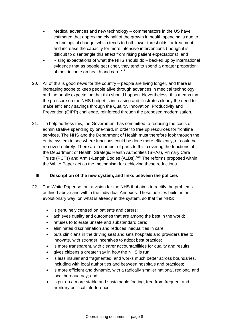- Medical advances and new technology commentators in the US have estimated that approximately half of the growth in health spending is due to technological change, which tends to both lower thresholds for treatment and increase the capacity for more intensive interventions (though it is difficult to disentangle this effect from rising patient expectations); and
- Rising expectations of what the NHS should do backed up by international evidence that as people get richer, they tend to spend a greater proportion of their income on health and care.<sup>[xxii](#page-60-1)</sup>
- 20. All of this is good news for the country people are living longer, and there is increasing scope to keep people alive through advances in medical technology and the public expectation that this should happen. Nevertheless, this means that the pressure on the NHS budget is increasing and illustrates clearly the need to make efficiency savings through the Quality, Innovation, Productivity and Prevention (QIPP) challenge, reinforced through the proposed modernisation.
- 21. To help address this, the Government has committed to reducing the costs of administrative spending by one-third, in order to free up resources for frontline services. The NHS and the Department of Health must therefore look through the entire system to see where functions could be done more efficiently, or could be removed entirely. There are a number of parts to this, covering the functions of the Department of Health, Strategic Health Authorities (SHAs), Primary Care Trusts (PCTs) and Arm's-Length Bodies (ALBs).<sup>[xxiii](#page-60-1)</sup> The reforms proposed within the White Paper act as the mechanism for achieving these reductions.

#### **III Description of the new system, and links between the policies**

- 22. The White Paper set out a vision for the NHS that aims to rectify the problems outlined above and within the individual Annexes. These policies build, in an evolutionary way, on what is already in the system, so that the NHS:
	- is genuinely centred on patients and carers;
	- achieves quality and outcomes that are among the best in the world;
	- refuses to tolerate unsafe and substandard care;
	- eliminates discrimination and reduces inequalities in care;
	- puts clinicians in the driving seat and sets hospitals and providers free to innovate, with stronger incentives to adopt best practice;
	- is more transparent, with clearer accountabilities for quality and results;
	- gives citizens a greater say in how the NHS is run;
	- is less insular and fragmented, and works much better across boundaries, including with local authorities and between hospitals and practices;
	- is more efficient and dynamic, with a radically smaller national, regional and local bureaucracy; and
	- is put on a more stable and sustainable footing, free from frequent and arbitrary political interference.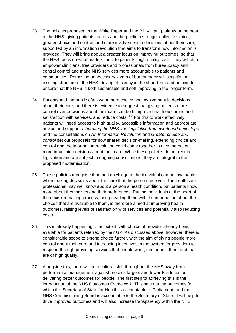- 23. The policies proposed in the White Paper and the Bill will put patients at the heart of the NHS, giving patients, carers and the public a stronger collective voice, greater choice and control, and more involvement in decisions about their care, supported by an information revolution that aims to transform how information is provided. They will bring about a greater focus on improving outcomes, so that the NHS focus on what matters most to patients: high quality care. They will also empower clinicians, free providers and professionals from bureaucracy and central control and make NHS services more accountable to patients and communities. Removing unnecessary layers of bureaucracy will simplify the existing structure of the NHS, driving efficiency in the short-term and helping to ensure that the NHS is both sustainable and self-improving in the longer-term.
- 24. Patients and the public often want more choice and involvement in decisions about their care, and there is evidence to suggest that giving patients more control over decisions about their care can both improve health outcomes and satisfaction with services, and reduce costs.<sup>[xxiv](#page-60-1)</sup> For this to work effectively, patients will need access to high quality, accessible information and appropriate advice and support. *Liberating the NHS: the legislative framework and next steps* and the consultations on *An Information Revolution* and *Greater choice and control* set out proposals for how shared decision-making, extending choice and control and the information revolution could come together to give the patient more input into decisions about their care. While these policies do not require legislation and are subject to ongoing consultations, they are integral to the proposed modernisation.
- 25. These policies recognise that the knowledge of the individual can be invaluable when making decisions about the care that the person receives. The healthcare professional may well know about a person's health condition, but patients know more about themselves and their preferences. Putting individuals at the heart of the decision-making process, and providing them with the information about the choices that are available to them, is therefore aimed at improving health outcomes, raising levels of satisfaction with services and potentially also reducing costs.
- 26. This is already happening to an extent, with choice of provider already being available for patients referred by their GP. As discussed above, however, there is considerable scope to extend choice further, with the aim of giving people more control about their care and increasing incentives in the system for providers to respond through providing services that people want, that benefit them and that are of high quality.
- 27. Alongside this, there will be a cultural shift throughout the NHS away from performance management against process targets and towards a focus on delivering better outcomes for people. The first step to achieving this is the introduction of the NHS Outcomes Framework. This sets out the outcomes for which the Secretary of State for Health is accountable to Parliament, and the NHS Commissioning Board is accountable to the Secretary of State. It will help to drive improved outcomes and will also increase transparency within the NHS.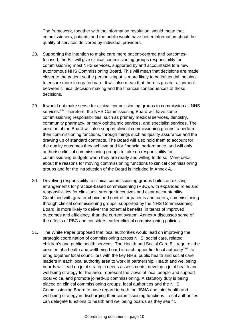The framework, together with the information revolution, would mean that commissioners, patients and the public would have better information about the quality of services delivered by individual providers.

- 28. Supporting the intention to make care more patient-centred and outcomesfocused, the Bill will give clinical commissioning groups responsibility for commissioning most NHS services, supported by and accountable to a new, autonomous NHS Commissioning Board. This will mean that decisions are made closer to the patient so the person's input is more likely to be influential, helping to ensure more integrated care. It will also mean that there is greater alignment between clinical decision-making and the financial consequences of those decisions.
- 29. It would not make sense for clinical commissioning groups to commission all NHS services.<sup>[xxv](#page-60-1)</sup> Therefore, the NHS Commissioning Board will have some commissioning responsibilities, such as primary medical services, dentistry, community pharmacy, primary ophthalmic services, and specialist services. The creation of the Board will also support clinical commissioning groups to perform their commissioning functions, through things such as quality assurance and the drawing up of standard contracts. The Board will also hold them to account for the quality outcomes they achieve and for financial performance, and will only authorise clinical commissioning groups to take on responsibility for commissioning budgets when they are ready and willing to do so. More detail about the reasons for moving commissioning functions to clinical commissioning groups and for the introduction of the Board is included in Annex A.
- 30. Devolving responsibility to clinical commissioning groups builds on existing arrangements for practice-based commissioning (PBC), with expanded roles and responsibilities for clinicians, stronger incentives and clear accountability. Combined with greater choice and control for patients and carers, commissioning through clinical commissioning groups, supported by the NHS Commissioning Board, is more likely to deliver the potential benefits, in terms of improved outcomes and efficiency, than the current system. Annex A discusses some of the effects of PBC and considers earlier clinical commissioning policies.
- 31. The White Paper proposed that local authorities would lead on improving the strategic coordination of commissioning across NHS, social care, related children's and public health services. The Health and Social Care Bill requires the creation of a health and wellbeing board in each upper tier local authority<sup>[xxvi](#page-60-1)</sup>, to bring together local councillors with the key NHS, public health and social care leaders in each local authority area to work in partnership. Health and wellbeing boards will lead on joint strategic needs assessments, develop a joint health and wellbeing strategy for the area, represent the views of local people and support local voice, and promote joined-up commissioning. A statutory duty is being placed on clinical commissioning groups, local authorities and the NHS Commissioning Board to have regard to both the JSNA and joint health and wellbeing strategy in discharging their commissioning functions. Local authorities can delegate functions to health and wellbeing boards as they see fit.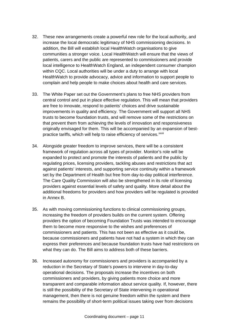- 32. These new arrangements create a powerful new role for the local authority, and increase the local democratic legitimacy of NHS commissioning decisions. In addition, the Bill will establish local HealthWatch organisations to give communities a stronger voice. Local HealthWatch will ensure that the views of patients, carers and the public are represented to commissioners and provide local intelligence to HealthWatch England, an independent consumer champion within CQC. Local authorities will be under a duty to arrange with local HealthWatch to provide advocacy, advice and information to support people to complain and help people to make choices about health and care services.
- 33. The White Paper set out the Government's plans to free NHS providers from central control and put in place effective regulation. This will mean that providers are free to innovate, respond to patients' choices and drive sustainable improvements in quality and efficiency. The Government will support all NHS trusts to become foundation trusts, and will remove some of the restrictions on that prevent them from achieving the levels of innovation and responsiveness originally envisaged for them. This will be accompanied by an expansion of bestpractice tariffs, which will help to raise efficiency of services.<sup>[xxvii](#page-60-1)</sup>
- 34. Alongside greater freedom to improve services, there will be a consistent framework of regulation across all types of provider. Monitor's role will be expanded to protect and promote the interests of patients and the public by regulating prices, licensing providers, tackling abuses and restrictions that act against patients' interests, and supporting service continuity within a framework set by the Department of Health but free from day-to-day political interference. The Care Quality Commission will also be strengthened in its role of licensing providers against essential levels of safety and quality. More detail about the additional freedoms for providers and how providers will be regulated is provided in Annex B.
- 35. As with moving commissioning functions to clinical commissioning groups, increasing the freedom of providers builds on the current system. Offering providers the option of becoming Foundation Trusts was intended to encourage them to become more responsive to the wishes and preferences of commissioners and patients. This has not been as effective as it could be, because commissioners and patients have not had a system in which they can express their preferences and because foundation trusts have had restrictions on what they can do. The Bill aims to address both of these barriers.
- 36. Increased autonomy for commissioners and providers is accompanied by a reduction in the Secretary of State's powers to intervene in day-to-day operational decisions. The proposals increase the incentives on both commissioners and providers, by giving patients more choice and more transparent and comparable information about service quality. If, however, there is still the possibility of the Secretary of State intervening in operational management, then there is not genuine freedom within the system and there remains the possibility of short-term political issues taking over from decisions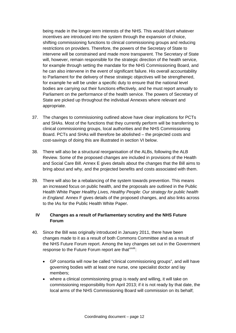being made in the longer-term interests of the NHS. This would blunt whatever incentives are introduced into the system through the expansion of choice, shifting commissioning functions to clinical commissioning groups and reducing restrictions on providers. Therefore, the powers of the Secretary of State to intervene will be constrained and made more transparent. The Secretary of State will, however, remain responsible for the strategic direction of the health service, for example through setting the mandate for the NHS Commissioning Board, and he can also intervene in the event of significant failure. His overall accountability to Parliament for the delivery of these strategic objectives will be strengthened, for example he will be under a specific duty to ensure that the national level bodies are carrying out their functions effectively, and he must report annually to Parliament on the performance of the health service. The powers of Secretary of State are picked up throughout the individual Annexes where relevant and appropriate.

- 37. The changes to commissioning outlined above have clear implications for PCTs and SHAs. Most of the functions that they currently perform will be transferring to clinical commissioning groups, local authorities and the NHS Commissioning Board. PCTs and SHAs will therefore be abolished – the projected costs and cost-savings of doing this are illustrated in section VI below.
- 38. There will also be a structural reorganisation of the ALBs, following the ALB Review. Some of the proposed changes are included in provisions of the Health and Social Care Bill. Annex E gives details about the changes that the Bill aims to bring about and why, and the projected benefits and costs associated with them.
- 39. There will also be a rebalancing of the system towards prevention. This means an increased focus on public health, and the proposals are outlined in the Public Health White Paper *Healthy Lives, Healthy People: Our strategy for public health in England*. Annex F gives details of the proposed changes, and also links across to the IAs for the Public Health White Paper.

## **IV Changes as a result of Parliamentary scrutiny and the NHS Future Forum**

- 40. Since the Bill was originally introduced in January 2011, there have been changes made to it as a result of both Commons Committee and as a result of the NHS Future Forum report. Among the key changes set out in the Government response to the Future Forum report are that [xxviii](#page-60-1):
	- GP consortia will now be called "clinical commissioning groups", and will have governing bodies with at least one nurse, one specialist doctor and lay members;
	- where a clinical commissioning group is ready and willing, it will take on commissioning responsibility from April 2013; if it is not ready by that date, the local arms of the NHS Commissioning Board will commission on its behalf;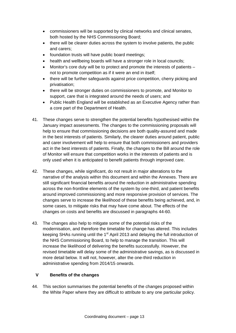- commissioners will be supported by clinical networks and clinical senates, both hosted by the NHS Commissioning Board;
- there will be clearer duties across the system to involve patients, the public and carers;
- foundation trusts will have public board meetings;
- health and wellbeing boards will have a stronger role in local councils;
- Monitor's core duty will be to protect and promote the interests of patients not to promote competition as if it were an end in itself;
- there will be further safeguards against price competition, cherry picking and privatisation;
- there will be stronger duties on commissioners to promote, and Monitor to support, care that is integrated around the needs of users; and
- Public Health England will be established as an Executive Agency rather than a core part of the Department of Health.
- 41. These changes serve to strengthen the potential benefits hypothesised within the January impact assessments. The changes to the commissioning proposals will help to ensure that commissioning decisions are both quality-assured and made in the best interests of patients. Similarly, the clearer duties around patient, public and carer involvement will help to ensure that both commissioners and providers act in the best interests of patients. Finally, the changes to the Bill around the role of Monitor will ensure that competition works in the interests of patients and is only used when it is anticipated to benefit patients through improved care.
- 42. These changes, while significant, do not result in major alterations to the narrative of the analysis within this document and within the Annexes. There are still significant financial benefits around the reduction in administrative spending across the non-frontline elements of the system by one-third, and patient benefits around improved commissioning and more responsive provision of services. The changes serve to increase the likelihood of these benefits being achieved, and, in some cases, to mitigate risks that may have come about. The effects of the changes on costs and benefits are discussed in paragraphs 44-60.
- 43. The changes also help to mitigate some of the potential risks of the modernisation, and therefore the timetable for change has altered. This includes keeping SHAs running until the 1<sup>st</sup> April 2013 and delaying the full introduction of the NHS Commissioning Board, to help to manage the transition. This will increase the likelihood of delivering the benefits successfully. However, the revised timetable will delay some of the administrative savings, as is discussed in more detail below. It will not, however, alter the one-third reduction in administrative spending from 2014/15 onwards.

## **V Benefits of the changes**

44. This section summarises the potential benefits of the changes proposed within the White Paper where they are difficult to attribute to any one particular policy.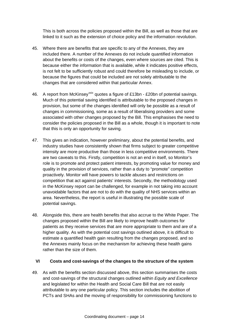This is both across the policies proposed within the Bill, as well as those that are linked to it such as the extension of choice policy and the information revolution.

- 45. Where there are benefits that are specific to any of the Annexes, they are included there. A number of the Annexes do not include quantified information about the benefits or costs of the changes, even where sources are cited. This is because either the information that is available, while it indicates positive effects, is not felt to be sufficiently robust and could therefore be misleading to include, or because the figures that could be included are not solely attributable to the changes that are considered within that particular Annex.
- 46. A report from McKinsey<sup>[xxix](#page-60-1)</sup> quotes a figure of £13bn £20bn of potential savings. Much of this potential saving identified is attributable to the proposed changes in provision, but some of the changes identified will only be possible as a result of changes in commissioning, some as a result of liberalising providers and some associated with other changes proposed by the Bill. This emphasises the need to consider the policies proposed in the Bill as a whole, though it is important to note that this is only an opportunity for saving.
- 47. This gives an indication, however preliminary, about the potential benefits, and industry studies have consistently shown that firms subject to greater competitive intensity are more productive than those in less competitive environments. There are two caveats to this. Firstly, competition is not an end in itself, so Monitor's role is to promote and protect patient interests, by promoting value for money and quality in the provision of services, rather than a duty to "promote" competition proactively. Monitor will have powers to tackle abuses and restrictions on competition that act against patients' interests. Secondly, the methodology used in the McKinsey report can be challenged, for example in not taking into account unavoidable factors that are not to do with the quality of NHS services within an area. Nevertheless, the report is useful in illustrating the possible scale of potential savings.
- 48. Alongside this, there are health benefits that also accrue to the White Paper. The changes proposed within the Bill are likely to improve health outcomes for patients as they receive services that are more appropriate to them and are of a higher quality. As with the potential cost savings outlined above, it is difficult to estimate a quantified health gain resulting from the changes proposed, and so the Annexes mainly focus on the mechanism for achieving these health gains rather than the size of them.

#### **VI Costs and cost-savings of the changes to the structure of the system**

49. As with the benefits section discussed above, this section summarises the costs and cost-savings of the structural changes outlined within *Equity and Excellence* and legislated for within the Health and Social Care Bill that are not easily attributable to any one particular policy. This section includes the abolition of PCTs and SHAs and the moving of responsibility for commissioning functions to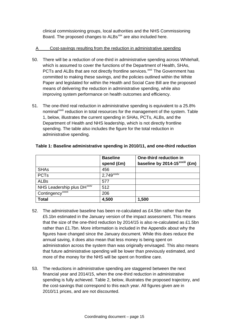clinical commissioning groups, local authorities and the NHS Commissioning Board. The proposed changes to ALBs<sup>xxx</sup> are also included here.

## A Cost-savings resulting from the reduction in administrative spending

- 50. There will be a reduction of one-third in administrative spending across Whitehall, which is assumed to cover the functions of the Department of Health, SHAs, PCTs and ALBs that are not directly frontline services.<sup>[xxxi](#page-60-1)</sup> The Government has committed to making these savings, and the policies outlined within the White Paper and legislated for within the Health and Social Care Bill are the proposed means of delivering the reduction in administrative spending, while also improving system performance on health outcomes and efficiency.
- 51. The one-third real reduction in administrative spending is equivalent to a 25.8% nominal<sup>[xxxii](#page-60-1)</sup> reduction in total resources for the management of the system. Table 1, below, illustrates the current spending in SHAs, PCTs, ALBs, and the Department of Health and NHS leadership, which is not directly frontline spending. The table also includes the figure for the total reduction in administrative spending.

|                                        | <b>Baseline</b>          | One-third reduction in                     |
|----------------------------------------|--------------------------|--------------------------------------------|
|                                        | spend (£m)               | baseline by 2014-15 <sup>xxxiii</sup> (£m) |
| <b>SHAs</b>                            | 456                      |                                            |
| <b>PCTs</b>                            | $2,749$ <sup>xxxiv</sup> |                                            |
| <b>ALBs</b>                            | 577                      |                                            |
| NHS Leadership plus DH <sup>xxxv</sup> | 512                      |                                            |
| Contingency <sup>xxxvi</sup>           | 206                      |                                            |
| <b>Total</b>                           | 4,500                    | 1,500                                      |

#### **Table 1: Baseline administrative spending in 2010/11, and one-third reduction**

- 52. The administrative baseline has been re-calculated as £4.5bn rather than the £5.1bn estimated in the January version of the impact assessment. This means that the size of the one-third reduction by 2014/15 is also re-calculated as £1.5bn rather than £1.7bn. More information is included in the Appendix about why the figures have changed since the January document. While this does reduce the annual saving, it does also mean that less money is being spent on administration across the system than was originally envisaged. This also means that future administrative spending will be lower than previously estimated, and more of the money for the NHS will be spent on frontline care.
- 53. The reductions in administrative spending are staggered between the next financial year and 2014/15, when the one-third reduction in administrative spending is fully achieved. Table 2, below, illustrates the proposed trajectory, and the cost-savings that correspond to this each year. All figures given are in 2010/11 prices, and are not discounted.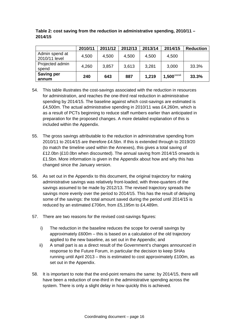|                                 | 2010/11 | 2011/12 | 2012/13 | 2013/14 | 2014/15                   | <b>Reduction</b> |
|---------------------------------|---------|---------|---------|---------|---------------------------|------------------|
| Admin spend at<br>2010/11 level | 4,500   | 4,500   | 4,500   | 4,500   | 4,500                     |                  |
| Projected admin<br>spend        | 4,260   | 3,857   | 3,613   | 3,281   | 3,000                     | 33.3%            |
| <b>Saving per</b><br>annum      | 240     | 643     | 887     | 1,219   | $1,500$ <sup>xxxvii</sup> | 33.3%            |

#### **Table 2: cost saving from the reduction in administrative spending, 2010/11 – 2014/15**

- 54. This table illustrates the cost-savings associated with the reduction in resources for administration, and reaches the one-third real reduction in administrative spending by 2014/15. The baseline against which cost-savings are estimated is £4,500m. The actual administrative spending in 2010/11 was £4,260m, which is as a result of PCTs beginning to reduce staff numbers earlier than anticipated in preparation for the proposed changes. A more detailed explanation of this is included within the Appendix.
- 55. The gross savings attributable to the reduction in administrative spending from 2010/11 to 2014/15 are therefore £4.5bn. If this is extended through to 2019/20 (to match the timeline used within the Annexes), this gives a total saving of £12.0bn (£10.0bn when discounted). The annual saving from 2014/15 onwards is £1.5bn. More information is given in the Appendix about how and why this has changed since the January version.
- 56. As set out in the Appendix to this document, the original trajectory for making administrative savings was relatively front-loaded, with three-quarters of the savings assumed to be made by 2012/13. The revised trajectory spreads the savings more evenly over the period to 2014/15. This has the result of delaying some of the savings: the total amount saved during the period until 2014/15 is reduced by an estimated £706m, from £5,195m to £4,489m.
- 57. There are two reasons for the revised cost-savings figures:
	- i) The reduction in the baseline reduces the scope for overall savings by approximately £600m – this is based on a calculation of the old trajectory applied to the new baseline, as set out in the Appendix; and
	- ii) A small part is as a direct result of the Government's changes announced in response to the Future Forum, in particular the decision to keep SHAs running until April 2013 – this is estimated to cost approximately £100m, as set out in the Appendix.
- 58. It is important to note that the end-point remains the same: by 2014/15, there will have been a reduction of one-third in the administrative spending across the system. There is only a slight delay in how quickly this is achieved.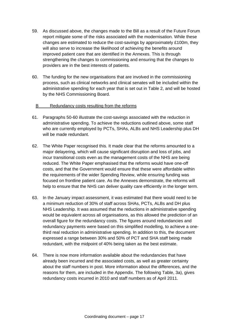- 59. As discussed above, the changes made to the Bill as a result of the Future Forum report mitigate some of the risks associated with the modernisation. While these changes are estimated to reduce the cost-savings by approximately £100m, they will also serve to increase the likelihood of achieving the benefits around improved patient care that are identified in the Annexes. This is through strengthening the changes to commissioning and ensuring that the changes to providers are in the best interests of patients.
- 60. The funding for the new organisations that are involved in the commissioning process, such as clinical networks and clinical senates will be included within the administrative spending for each year that is set out in Table 2, and will be hosted by the NHS Commissioning Board.

#### B Redundancy costs resulting from the reforms

- 61. Paragraphs 50-60 illustrate the cost-savings associated with the reduction in administrative spending. To achieve the reductions outlined above, some staff who are currently employed by PCTs, SHAs, ALBs and NHS Leadership plus DH will be made redundant.
- 62. The White Paper recognised this. It made clear that the reforms amounted to a major delayering, which will cause significant disruption and loss of jobs, and incur transitional costs even as the management costs of the NHS are being reduced. The White Paper emphasised that the reforms would have one-off costs, and that the Government would ensure that these were affordable within the requirements of the wider Spending Review, while ensuring funding was focused on frontline patient care. As the Annexes demonstrate, the reforms will help to ensure that the NHS can deliver quality care efficiently in the longer term.
- 63. In the January impact assessment, it was estimated that there would need to be a minimum reduction of 30% of staff across SHAs, PCTs, ALBs and DH plus NHS Leadership. It was assumed that the reductions in administrative spending would be equivalent across all organisations, as this allowed the prediction of an overall figure for the redundancy costs. The figures around redundancies and redundancy payments were based on this simplified modelling, to achieve a onethird real reduction in administrative spending. In addition to this, the document expressed a range between 30% and 50% of PCT and SHA staff being made redundant, with the midpoint of 40% being taken as the best estimate.
- 64. There is now more information available about the redundancies that have already been incurred and the associated costs, as well as greater certainty about the staff numbers in post. More information about the differences, and the reasons for them, are included in the Appendix. The following Table, 3a), gives redundancy costs incurred in 2010 and staff numbers as of April 2011.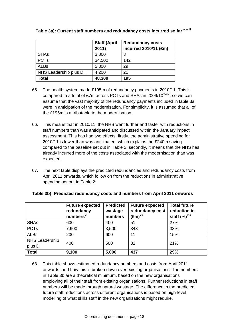|                        | <b>Staff (April</b> | <b>Redundancy costs</b> |
|------------------------|---------------------|-------------------------|
|                        | 2011)               | incurred 2010/11 (£m)   |
| <b>SHAs</b>            | 3,800               | 3                       |
| <b>PCTs</b>            | 34,500              | 142                     |
| <b>ALBs</b>            | 5,800               | 29                      |
| NHS Leadership plus DH | 4,200               | 21                      |
| <b>Total</b>           | 48,300              | 195                     |

# **Table 3a): Current staff numbers and redundancy costs incurred so far[xxxviii](#page-60-1)**

- 65. The health system made £195m of redundancy payments in 2010/11. This is compared to a total of £7m across PCTs and SHAs in 2009/10 $\frac{xx}{xx}$ , so we can assume that the vast majority of the redundancy payments included in table 3a were in anticipation of the modernisation. For simplicity, it is assumed that all of the £195m is attributable to the modernisation.
- 66. This means that in 2010/11, the NHS went further and faster with reductions in staff numbers than was anticipated and discussed within the January impact assessment. This has had two effects: firstly, the administrative spending for 2010/11 is lower than was anticipated, which explains the £240m saving compared to the baseline set out in Table 2; secondly, it means that the NHS has already incurred more of the costs associated with the modernisation than was expected.
- 67. The next table displays the predicted redundancies and redundancy costs from April 2011 onwards, which follow on from the reductions in administrative spending set out in Table 2:

|                       | <b>Future expected</b><br>redundancy<br>numbers <sup>xl</sup> | <b>Predicted</b><br>wastage<br>numbers | <b>Future expected</b><br>redundancy cost<br>$(\text{Em})^{\text{xli}}$ | <b>Total future</b><br>reduction in<br>staff (%) <sup>xlii</sup> |
|-----------------------|---------------------------------------------------------------|----------------------------------------|-------------------------------------------------------------------------|------------------------------------------------------------------|
| <b>SHAs</b>           | 600                                                           | 400                                    | 51                                                                      | 27%                                                              |
| <b>PCTs</b>           | 7,900                                                         | 3,500                                  | 343                                                                     | 33%                                                              |
| <b>ALBs</b>           | 200                                                           | 600                                    | 11                                                                      | 15%                                                              |
| <b>NHS Leadership</b> | 400                                                           | 500                                    | 32                                                                      | 21%                                                              |
| plus DH               |                                                               |                                        |                                                                         |                                                                  |
| <b>Total</b>          | 9,100                                                         | 5,000                                  | 437                                                                     | 29%                                                              |

#### **Table 3b): Predicted redundancy costs and numbers from April 2011 onwards**

68. This table shows estimated redundancy numbers and costs from April 2011 onwards, and how this is broken down over existing organisations. The numbers in Table 3b are a theoretical minimum, based on the new organisations employing all of their staff from existing organisations. Further reductions in staff numbers will be made through natural wastage. The difference in the predicted future staff reductions across different organisations is based on high-level modelling of what skills staff in the new organisations might require.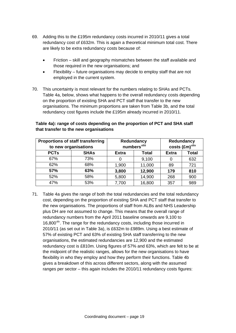- 69. Adding this to the £195m redundancy costs incurred in 2010/11 gives a total redundancy cost of £632m. This is again a theoretical minimum total cost. There are likely to be extra redundancy costs because of:
	- Friction skill and geography mismatches between the staff available and those required in the new organisations; and
	- Flexibility future organisations may decide to employ staff that are not employed in the current system.
- 70. This uncertainty is most relevant for the numbers relating to SHAs and PCTs. Table 4a, below, shows what happens to the overall redundancy costs depending on the proportion of existing SHA and PCT staff that transfer to the new organisations. The minimum proportions are taken from Table 3b, and the total redundancy cost figures include the £195m already incurred in 2010/11.

| <b>Proportions of staff transferring</b><br>to new organisations |             |              | Redundancy<br>numbers <sup>xliii</sup> | Redundancy<br>costs (£m) <sup>xliv</sup> |              |
|------------------------------------------------------------------|-------------|--------------|----------------------------------------|------------------------------------------|--------------|
| <b>PCTs</b>                                                      | <b>SHAs</b> | <b>Extra</b> | <b>Total</b>                           | <b>Extra</b>                             | <b>Total</b> |
| 67%                                                              | 73%         | 0            | 9,100                                  | 0                                        | 632          |
| 62%                                                              | 68%         | 1,900        | 11,000                                 | 89                                       | 721          |
| 57%                                                              | 63%         | 3,800        | 12,900                                 | 179                                      | 810          |
| 52%                                                              | 58%         | 5,800        | 14,900                                 | 268                                      | 900          |
| 47%                                                              | 53%         | 7,700        | 16,800                                 | 357                                      | 989          |

## **Table 4a): range of costs depending on the proportion of PCT and SHA staff that transfer to the new organisations**

71. Table 4a gives the range of both the total redundancies and the total redundancy cost, depending on the proportion of existing SHA and PCT staff that transfer to the new organisations. The proportions of staff from ALBs and NHS Leadership plus DH are not assumed to change. This means that the overall range of redundancy numbers from the April 2011 baseline onwards are 9,100 to  $16,800<sup>xiv</sup>$ . The range for the redundancy costs, including those incurred in 2010/11 (as set out in Table 3a), is £632m to £989m. Using a best estimate of 57% of existing PCT and 63% of existing SHA staff transferring to the new organisations, the estimated redundancies are 12,900 and the estimated redundancy cost is £810m. Using figures of 57% and 63%, which are felt to be at the midpoint of the realistic ranges, allows for the new organisations to have flexibility in who they employ and how they perform their functions. Table 4b gives a breakdown of this across different sectors, along with the assumed ranges per sector – this again includes the 2010/11 redundancy costs figures: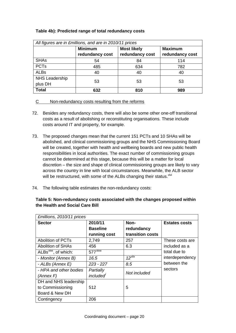### **Table 4b): Predicted range of total redundancy costs**

| All figures are in £millions, and are in 2010/11 prices |                                                        |                 |                 |  |  |  |
|---------------------------------------------------------|--------------------------------------------------------|-----------------|-----------------|--|--|--|
|                                                         | <b>Minimum</b><br><b>Most likely</b><br><b>Maximum</b> |                 |                 |  |  |  |
|                                                         | redundancy cost                                        | redundancy cost | redundancy cost |  |  |  |
| <b>SHAs</b>                                             | 54                                                     | 84              | 114             |  |  |  |
| <b>PCTs</b>                                             | 485                                                    | 634             | 782             |  |  |  |
| <b>ALBs</b>                                             | 40                                                     | 40              | 40              |  |  |  |
| <b>NHS Leadership</b><br>plus DH                        | 53                                                     | 53              | 53              |  |  |  |
| <b>Total</b>                                            | 632                                                    | 810             | 989             |  |  |  |

## C Non-redundancy costs resulting from the reforms

- 72. Besides any redundancy costs, there will also be some other one-off transitional costs as a result of abolishing or reconstituting organisations. These include costs around IT and property, for example.
- 73. The proposed changes mean that the current 151 PCTs and 10 SHAs will be abolished, and clinical commissioning groups and the NHS Commissioning Board will be created, together with health and wellbeing boards and new public health responsibilities in local authorities. The exact number of commissioning groups cannot be determined at this stage, because this will be a matter for local discretion – the size and shape of clinical commissioning groups are likely to vary across the country in line with local circumstances. Meanwhile, the ALB sector will be restructured, with some of the ALBs changing their status. XIVi
- 74. The following table estimates the non-redundancy costs:

| £millions, 2010/11 prices         |                       |                  |                      |  |  |
|-----------------------------------|-----------------------|------------------|----------------------|--|--|
| <b>Sector</b>                     | 2010/11               | Non-             | <b>Estates costs</b> |  |  |
|                                   | <b>Baseline</b>       | redundancy       |                      |  |  |
|                                   | running cost          | transition costs |                      |  |  |
| <b>Abolition of PCTs</b>          | 2,749                 | 257              | These costs are      |  |  |
| Abolition of SHAs                 | 456                   | 6.3              | included as a        |  |  |
| ALBs <sup>xlvii</sup> , of which: | $577^{\text{XIVIII}}$ |                  | total due to         |  |  |
| - Monitor (Annex B)               | 16.5                  | $12^{x/ix}$      | interdependency      |  |  |
| - ALBs (Annex E)                  | $223 - 227$           | 8.5              | between the          |  |  |
| - HPA and other bodies            | Partially             | Not included     | sectors              |  |  |
| (Annex F)                         | included <sup>'</sup> |                  |                      |  |  |
| DH and NHS leadership             |                       |                  |                      |  |  |
| to Commissioning                  | 512                   | 5                |                      |  |  |
| Board & New DH                    |                       |                  |                      |  |  |
| Contingency                       | 206                   |                  |                      |  |  |

## **Table 5: Non-redundancy costs associated with the changes proposed within the Health and Social Care Bill**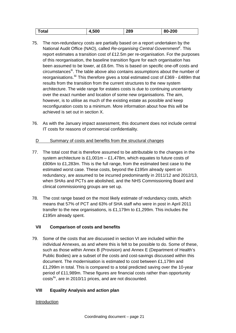| Total | 4,500 | 289 | 80-200 |
|-------|-------|-----|--------|

- 75. The non-redundancy costs are partially based on a report undertaken by the National Audit Office (NAO), called *Re-organising Central Government[li](#page-60-1)*. This report estimates a transition cost of £12.5m per re-organisation. For the purposes of this reorganisation, the baseline transition figure for each organisation has been assumed to be lower, at £8.6m. This is based on specific one-off costs and circumstances<sup>II</sup>. The table above also contains assumptions about the number of reorganisations.<sup>III</sup> This therefore gives a total estimated cost of £369 - £489m that results from the transition from the current structures to the new system architecture. The wide range for estates costs is due to continuing uncertainty over the exact number and location of some new organisations. The aim, however, is to utilise as much of the existing estate as possible and keep reconfiguration costs to a minimum. More information about how this will be achieved is set out in section X.
- 76. As with the January impact assessment, this document does not include central IT costs for reasons of commercial confidentiality.

## D Summary of costs and benefits from the structural changes

- 77. The total cost that is therefore assumed to be attributable to the changes in the system architecture is £1,001m – £1,478m, which equates to future costs of £806m to £1,283m. This is the full range, from the estimated best case to the estimated worst case. These costs, beyond the £195m already spent on redundancy, are assumed to be incurred predominantly in 2011/12 and 2012/13, when SHAs and PCTs are abolished, and the NHS Commissioning Board and clinical commissioning groups are set up.
- 78. The cost range based on the most likely estimate of redundancy costs, which means that 57% of PCT and 63% of SHA staff who were in post in April 2011 transfer to the new organisations, is £1,179m to £1,299m. This includes the £195m already spent.

## **VII Comparison of costs and benefits**

79. Some of the costs that are discussed in section VI are included within the individual Annexes, as and where this is felt to be possible to do. Some of these, such as those within Annex B (Provision) and Annex E (Department of Health's Public Bodies) are a subset of the costs and cost-savings discussed within this document. The modernisation is estimated to cost between £1,179m and £1,299m in total. This is compared to a total predicted saving over the 10-year period of £11,989m. These figures are financial costs rather than opportunity costs<sup>[liv](#page-60-1)</sup>, are in 2010/11 prices, and are not discounted.

# **VIII Equality Analysis and action plan**

# Introduction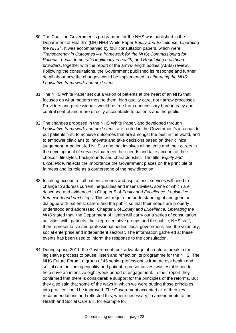- 80. The Coalition Government's programme for the NHS was published in the Department of Health's (DH) NHS White Paper *Equity and Excellence: Liberating the NHS*<sup>IV</sup>. It was accompanied by four consultation papers, which were: *Transparency in Outcomes – a framework for the NHS*; *Commissioning for Patients; Local democratic legitimacy in health;* and *Regulating healthcare providers*, together with the report of the arm's-length bodies (ALBs) review. Following the consultations, the Government published its response and further detail about how the changes would be implemented in *Liberating the NHS: Legislative framework and next steps*.
- 81. The NHS White Paper set out a vision of patients at the heart of an NHS that focuses on what matters most to them: high quality care, not narrow processes. Providers and professionals would be free from unnecessary bureaucracy and central control and more directly accountable to patients and the public.
- 82. The changes proposed in the NHS White Paper, and developed through *Legislative framework and next steps,* are rooted in the Government's intention to put patients first, to achieve outcomes that are amongst the best in the world, and to empower clinicians to innovate and take decisions based on their clinical judgement. A patient-led NHS is one that involves all patients and their carers in the development of services that meet their needs and take account of their choices, lifestyles, backgrounds and characteristics. The title, *Equity and Excellence*, reflects the importance the Government places on the principle of fairness and its role as a cornerstone of the new direction.
- 83. In taking account of all patients' needs and aspirations, services will need to change to address current inequalities and insensitivities, some of which are described and evidenced in Chapter 5 of *Equity and Excellence: Legislative framework and next steps*. This will require an understanding of and genuine dialogue with patients, carers and the public so that their needs are properly understood and addressed. Chapter 6 of *Equity and Excellence: Liberating the NHS* stated that "the Department of Health will carry out a series of consultation activities with: patients, their representative groups and the public; NHS staff, their representative and professional bodies; local government; and the voluntary, social enterprise and independent sectors". The information gathered at these events has been used to inform the response to the consultation.
- 84. During spring 2011, the Government took advantage of a natural break in the legislative process to pause, listen and reflect on its programme for the NHS. The NHS Future Forum, a group of 45 senior professionals from across health and social care, including equality and patient representatives, was established to help drive an intensive eight-week period of engagement. In their report they confirmed that there is considerable support for the principles of the reforms. But they also said that some of the ways in which we were putting those principles into practice could be improved. The Government accepted all of their key recommendations and reflected this, where necessary, in amendments to the Health and Social Care Bill, for example to: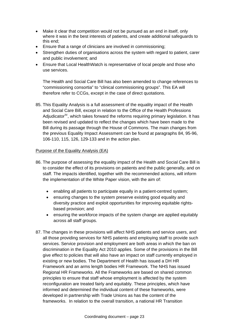- Make it clear that competition would not be pursued as an end in itself, only where it was in the best interests of patients, and create additional safeguards to this end;
- Ensure that a range of clinicians are involved in commissioning;
- Strengthen duties of organisations across the system with regard to patient, carer and public involvement; and
- Ensure that Local HealthWatch is representative of local people and those who use services.

The Health and Social Care Bill has also been amended to change references to "commissioning consortia" to "clinical commissioning groups". This EA will therefore refer to CCGs, except in the case of direct quotations.

85. This Equality Analysis is a full assessment of the equality impact of the Health and Social Care Bill, except in relation to the Office of the Health Professions Adjudicator<sup> $\dot{M}$ </sup>, which takes forward the reforms requiring primary legislation. It has been revised and updated to reflect the changes which have been made to the Bill during its passage through the House of Commons. The main changes from the previous Equality Impact Assessment can be found at paragraphs 84, 95-96, 106-110, 115, 126, 129-133 and in the action plan.

## Purpose of the Equality Analysis (EA)

- 86. The purpose of assessing the equality impact of the Health and Social Care Bill is to consider the effect of its provisions on patients and the public generally, and on staff. The impacts identified, together with the recommended actions, will inform the implementation of the White Paper vision, with the aim of:
	- enabling all patients to participate equally in a patient-centred system;
	- ensuring changes to the system preserve existing good equality and diversity practice and exploit opportunities for improving equitable rightsbased provision; and
	- ensuring the workforce impacts of the system change are applied equitably across all staff groups.
- 87. The changes in these provisions will affect NHS patients and service users, and all those providing services for NHS patients and employing staff to provide such services. Service provision and employment are both areas in which the ban on discrimination in the Equality Act 2010 applies. Some of the provisions in the Bill give effect to policies that will also have an impact on staff currently employed in existing or new bodies. The Department of Health has issued a DH HR Framework and an arms length bodies HR Framework. The NHS has issued Regional HR Frameworks. All the Frameworks are based on shared common principles to ensure that staff whose employment is affected by the system reconfiguration are treated fairly and equitably. These principles, which have informed and determined the individual content of these frameworks, were developed in partnership with Trade Unions as has the content of the frameworks. In relation to the overall transition, a national HR Transition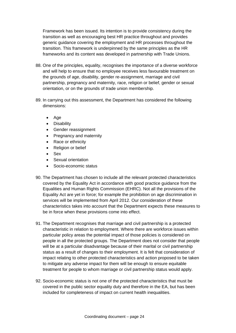Framework has been issued. Its intention is to provide consistency during the transition as well as encouraging best HR practice throughout and provides generic guidance covering the employment and HR processes throughout the transition. This framework is underpinned by the same principles as the HR frameworks and its content was developed in partnership with Trade Unions.

- 88. One of the principles, equality, recognises the importance of a diverse workforce and will help to ensure that no employee receives less favourable treatment on the grounds of age, disability, gender re-assignment, marriage and civil partnership, pregnancy and maternity, race, religion or belief, gender or sexual orientation, or on the grounds of trade union membership.
- 89. In carrying out this assessment, the Department has considered the following dimensions:
	- Age
	- Disability
	- Gender reassignment
	- Pregnancy and maternity
	- Race or ethnicity
	- Religion or belief
	- Sex
	- Sexual orientation
	- Socio-economic status
- 90. The Department has chosen to include all the relevant protected characteristics covered by the Equality Act in accordance with good practice guidance from the Equalities and Human Rights Commission (EHRC). Not all the provisions of the Equality Act are yet in force; for example the prohibition on age discrimination in services will be implemented from April 2012. Our consideration of these characteristics takes into account that the Department expects these measures to be in force when these provisions come into effect.
- 91. The Department recognises that marriage and civil partnership is a protected characteristic in relation to employment. Where there are workforce issues within particular policy areas the potential impact of those policies is considered on people in all the protected groups. The Department does not consider that people will be at a particular disadvantage because of their marital or civil partnership status as a result of changes to their employment. It is felt that consideration of impact relating to other protected characteristics and action proposed to be taken to mitigate any adverse impact for them will be enough to ensure equitable treatment for people to whom marriage or civil partnership status would apply.
- 92. Socio-economic status is not one of the protected characteristics that must be covered in the public sector equality duty and therefore in the EA, but has been included for completeness of impact on current health inequalities.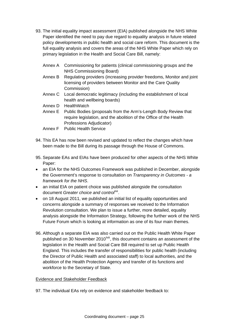- 93. The initial equality impact assessment (EIA) published alongside the NHS White Paper identified the need to pay due regard to equality analysis in future related policy developments in public health and social care reform. This document is the full equality analysis and covers the areas of the NHS White Paper which rely on primary legislation in the Health and Social Care Bill, namely:
	- Annex A Commissioning for patients (clinical commissioning groups and the NHS Commissioning Board)
	- Annex B Regulating providers (increasing provider freedoms, Monitor and joint licensing of providers between Monitor and the Care Quality Commission)
	- Annex C Local democratic legitimacy (including the establishment of local health and wellbeing boards)
	- Annex D HealthWatch
	- Annex E Public Bodies (proposals from the Arm's-Length Body Review that require legislation, and the abolition of the Office of the Health Professions Adjudicator)
	- Annex F Public Health Service
- 94. This EA has now been revised and updated to reflect the changes which have been made to the Bill during its passage through the House of Commons.
- 95. Separate EAs and EIAs have been produced for other aspects of the NHS White Paper:
- an EIA for the NHS Outcomes Framework was published in December, alongside the Government's response to consultation on *Transparency in Outcomes - a framework for the NHS*.
- an initial EIA on patient choice was published alongside the consultation document *Greater choice and control*<sup>[lvii](#page-60-1)</sup>.
- on 18 August 2011, we published an initial list of equality opportunities and concerns alongside a summary of responses we received to the Information Revolution consultation. We plan to issue a further, more detailed, equality analysis alongside the Information Strategy, following the further work of the NHS Future Forum which is looking at information as one of its four main themes.
- 96. Although a separate EIA was also carried out on the Public Health White Paper published on 30 November 2010<sup>[lviii](#page-60-1)</sup>, this document contains an assessment of the legislation in the Health and Social Care Bill required to set up Public Health England. This includes the transfer of responsibilities for public health (including the Director of Public Health and associated staff) to local authorities, and the abolition of the Health Protection Agency and transfer of its functions and workforce to the Secretary of State.

#### Evidence and Stakeholder Feedback

97. The individual EAs rely on evidence and stakeholder feedback to: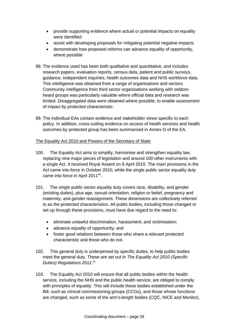- provide supporting evidence where actual or potential impacts on equality were identified
- assist with developing proposals for mitigating potential negative impacts
- demonstrate how proposed reforms can advance equality of opportunity, where possible
- 98. The evidence used has been both qualitative and quantitative, and includes research papers, evaluation reports, census data, patient and public surveys, guidance, independent inquiries, health outcomes data and NHS workforce data. This intelligence was obtained from a range of organisations and sectors. Community intelligence from third sector organisations working with seldomheard groups was particularly valuable where official data and research was limited. Disaggregated data were obtained where possible, to enable assessment of impact by protected characteristic.
- 99. The individual EAs contain evidence and stakeholder views specific to each policy. In addition, cross-cutting evidence on access of health services and health outcomes by protected group has been summarised in Annex G of the EA.

#### The Equality Act 2010 and Powers of the Secretary of State

- 100. The Equality Act aims to simplify, harmonise and strengthen equality law, replacing nine major pieces of legislation and around 100 other instruments with a single Act. It received Royal Assent on 8 April 2010. The main provisions in the Act came into force in October 2010, while the single public sector equality duty came into force in April 2011<sup>[lix](#page-60-1)</sup>.
- 101. The single public sector equality duty covers race, disability, and gender (existing duties), plus age, sexual orientation, religion or belief, pregnancy and maternity, and gender reassignment. These dimensions are collectively referred to as the protected characteristics. All public bodies, including those changed or set up through these provisions, must have due regard to the need to:
	- eliminate unlawful discrimination, harassment, and victimisation;
	- advance equality of opportunity; and
	- foster good relations between those who share a relevant protected characteristic and those who do not.
- 102. This general duty is underpinned by specific duties, to help public bodies meet the general duty. These are set out in *The Equality Act 2010 (Specific*  Duties) Regulations 2011.
- 103. The Equality Act 2010 will ensure that all public bodies within the health service, including the NHS and the public health service, are obliged to comply with principles of equality. This will include those bodies established under the Bill, such as clinical commissioning groups (CCGs), and those whose functions are changed, such as some of the arm's-length bodies (CQC, NICE and Monitor).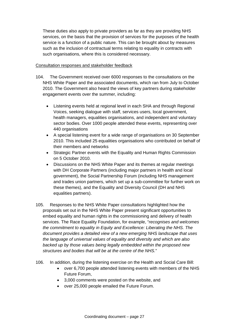These duties also apply to private providers as far as they are providing NHS services, on the basis that the provision of services for the purposes of the health service is a function of a public nature. This can be brought about by measures such as the inclusion of contractual terms relating to equality in contracts with such organisations, where this is considered necessary.

#### Consultation responses and stakeholder feedback

- 104. The Government received over 6000 responses to the consultations on the NHS White Paper and the associated documents, which ran from July to October 2010. The Government also heard the views of key partners during stakeholder engagement events over the summer, including:
	- Listening events held at regional level in each SHA and through Regional Voices, seeking dialogue with staff, services users, local government, health managers, equalities organisations, and independent and voluntary sector bodies. Over 1000 people attended these events, representing over 440 organisations
	- A special listening event for a wide range of organisations on 30 September 2010. This included 25 equalities organisations who contributed on behalf of their members and networks
	- Strategic Partner events with the Equality and Human Rights Commission on 5 October 2010.
	- Discussions on the NHS White Paper and its themes at regular meetings with DH Corporate Partners (including major partners in health and local government), the Social Partnership Forum (including NHS management and trades union partners, which set up a sub-committee for further work on these themes), and the Equality and Diversity Council (DH and NHS equalities partners).
- 105. Responses to the NHS White Paper consultations highlighted how the proposals set out in the NHS White Paper present significant opportunities to embed equality and human rights in the commissioning and delivery of health services. The Race Equality Foundation, for example, "*recognises and welcomes the commitment to equality in Equity and Excellence: Liberating the NHS. The document provides a detailed view of a new emerging NHS landscape that uses the language of universal values of equality and diversity and which are also backed up by those values being legally embedded within the proposed new structures and bodies that will be at the centre of the NHS.*"
- 106. In addition, during the listening exercise on the Health and Social Care Bill:
	- over 6,700 people attended listening events with members of the NHS Future Forum,
	- 3,000 comments were posted on the website, and
	- over 25,000 people emailed the Future Forum.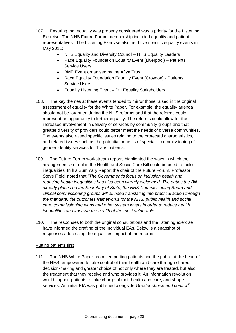- 107. Ensuring that equality was properly considered was a priority for the Listening Exercise. The NHS Future Forum membership included equality and patient representatives. The Listening Exercise also held five specific equality events in May 2011:
	- NHS Equality and Diversity Council NHS Equality Leaders
	- Race Equality Foundation Equality Event (Liverpool) Patients, Service Users.
	- BME Event organised by the Afiya Trust.
	- Race Equality Foundation Equality Event (Croydon) Patients, Service Users.
	- Equality Listening Event DH Equality Stakeholders.
- 108. The key themes at these events tended to mirror those raised in the original assessment of equality for the White Paper. For example, the equality agenda should not be forgotten during the NHS reforms and that the reforms could represent an opportunity to further equality. The reforms could allow for the increased involvement in delivery of services by community groups and that greater diversity of providers could better meet the needs of diverse communities. The events also raised specific issues relating to the protected characteristics, and related issues such as the potential benefits of specialist commissioning of gender identity services for Trans patients.
- 109. The Future Forum workstream reports highlighted the ways in which the arrangements set out in the Health and Social Care Bill could be used to tackle inequalities. In his Summary Report the chair of the Future Forum, Professor Steve Field, noted that *"The Government's focus on inclusion health and reducing health inequalities has also been warmly welcomed. The duties the Bill already places on the Secretary of State, the NHS Commissioning Board and clinical commissioning groups will all need translating into practical action through the mandate, the outcomes frameworks for the NHS, public health and social care, commissioning plans and other system levers in order to reduce health inequalities and improve the health of the most vulnerable."*
- 110. The responses to both the original consultations and the listening exercise have informed the drafting of the individual EAs. Below is a snapshot of responses addressing the equalities impact of the reforms.

## Putting patients first

111. The NHS White Paper proposed putting patients and the public at the heart of the NHS, empowered to take control of their health and care through shared decision-making and greater choice of not only where they are treated, but also the treatment that they receive and who provides it. An information revolution would support patients to take charge of their health and care, and shape services. An initial EIA was published alongside *Greater choice and control[lxi](#page-60-1)*.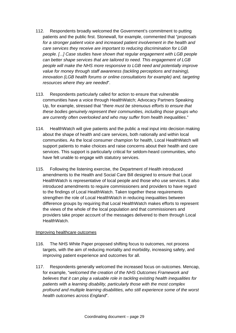- 112. Respondents broadly welcomed the Government's commitment to putting patients and the public first. Stonewall, for example, commented that "*proposals for a stronger patient voice and increased patient involvement in the health and care services they receive are important to reducing discrimination for LGB people. [...] Case studies have shown that regular engagement with LGB people can better shape services that are tailored to need. This engagement of LGB people will make the NHS more responsive to LGB need and potentially improve value for money through staff awareness (tackling perceptions and training), innovation (LGB health forums or online consultations for example) and, targeting resources where they are needed*".
- 113. Respondents particularly called for action to ensure that vulnerable communities have a voice through HealthWatch; Advocacy Partners Speaking Up, for example, stressed that "*there must be strenuous efforts to ensure that these bodies genuinely represent their communities, including those groups who are currently often overlooked and who may suffer from health inequalities*."
- 114. HealthWatch will give patients and the public a real input into decision making about the shape of health and care services, both nationally and within local communities. As the local consumer champion for health, Local HealthWatch will support patients to make choices and raise concerns about their health and care services. This support is particularly critical for seldom-heard communities, who have felt unable to engage with statutory services.
- 115. Following the listening exercise, the Department of Health introduced amendments to the Health and Social Care Bill designed to ensure that Local HealthWatch is representative of local people and those who use services. It also introduced amendments to require commissioners and providers to have regard to the findings of Local HealthWatch. Taken together these requirements strengthen the role of Local HealthWatch in reducing inequalities between difference groups by requiring that Local HealthWatch makes efforts to represent the views of the whole of the local population and that commissioners and providers take proper account of the messages delivered to them through Local HealthWatch.

#### Improving healthcare outcomes

- 116. The NHS White Paper proposed shifting focus to outcomes, not process targets, with the aim of reducing mortality and morbidity, increasing safety, and improving patient experience and outcomes for all.
- 117. Respondents generally welcomed the increased focus on outcomes. Mencap, for example, "*welcomed the creation of the NHS Outcomes Framework and believes that it can play a valuable role in tackling existing health inequalities for patients with a learning disability, particularly those with the most complex profound and multiple learning disabilities, who still experience some of the worst health outcomes across England*".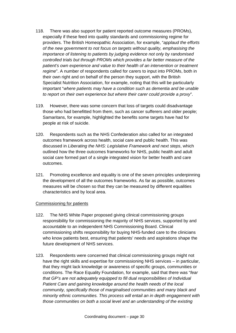- 118. There was also support for patient reported outcome measures (PROMs), especially if these feed into quality standards and commissioning regime for providers. The British Homeopathic Association, for example, "*applaud the efforts of the new government to not focus on targets without quality, emphasising the importance of listening to patients by judging evidence not only by randomised controlled trials but through PROMs which provides a far better measure of the patient's own experience and value to their health of an intervention or treatment regime*". A number of respondents called for carers to input into PROMs, both in their own right and on behalf of the person they support, with the British Specialist Nutrition Association, for example, noting that this will be particularly important "*where patients may have a condition such as dementia and be unable to report on their own experience but where their carer could provide a proxy*".
- 119. However, there was some concern that loss of targets could disadvantage those who had benefitted from them, such as cancer sufferers and older people; Samaritans, for example, highlighted the benefits some targets have had for people at risk of suicide.
- 120. Respondents such as the NHS Confederation also called for an integrated outcomes framework across health, social care and public health. This was discussed in *Liberating the NHS: Legislative Framework and next steps*, which outlined how the three outcomes frameworks for NHS, public health and adult social care formed part of a single integrated vision for better health and care outcomes.
- 121. Promoting excellence and equality is one of the seven principles underpinning the development of all the outcomes frameworks. As far as possible, outcomes measures will be chosen so that they can be measured by different equalities characteristics and by local area.

#### Commissioning for patients

- 122. The NHS White Paper proposed giving clinical commissioning groups responsibility for commissioning the majority of NHS services, supported by and accountable to an independent NHS Commissioning Board. Clinical commissioning shifts responsibility for buying NHS-funded care to the clinicians who know patients best, ensuring that patients' needs and aspirations shape the future development of NHS services.
- 123. Respondents were concerned that clinical commissioning groups might not have the right skills and expertise for commissioning NHS services – in particular, that they might lack knowledge or awareness of specific groups, communities or conditions. The Race Equality Foundation, for example, said that there was "*fear that GP's are not adequately equipped to fill dual responsibilities of Individual Patient Care and gaining knowledge around the health needs of the local community, specifically those of marginalised communities and many black and minority ethnic communities. This process will entail an in depth engagement with those communities on both a social level and an understanding of the existing*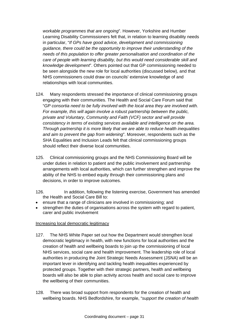*workable programmes that are ongoing*". However, Yorkshire and Humber Learning Disability Commissioners felt that, in relation to learning disability needs in particular, "*If GPs have good advice, development and commissioning guidance, there could be the opportunity to improve their understanding of the needs of this population to offer greater personalisation and coordination of the care of people with learning disability, but this would need considerable skill and knowledge development*". Others pointed out that GP commissioning needed to be seen alongside the new role for local authorities (discussed below), and that NHS commissioners could draw on councils' extensive knowledge of and relationships with local communities.

- 124. Many respondents stressed the importance of clinical commissioning groups engaging with their communities. The Health and Social Care Forum said that "*GP consortia need to be fully involved with the local area they are involved with. For example, this will again involve a robust partnership between the public, private and Voluntary, Community and Faith (VCF) sector and will provide consistency in terms of existing services available and intelligence on the area. Through partnership it is more likely that we are able to reduce health inequalities and aim to prevent the gap from widening*". Moreover, respondents such as the SHA Equalities and Inclusion Leads felt that clinical commissioning groups should reflect their diverse local communities.
- 125. Clinical commissioning groups and the NHS Commissioning Board will be under duties in relation to patient and the public involvement and partnership arrangements with local authorities, which can further strengthen and improve the ability of the NHS to embed equity through their commissioning plans and decisions, in order to improve outcomes.
- 126. In addition, following the listening exercise, Government has amended the Health and Social Care Bill to:
- ensure that a range of clinicians are involved in commissioning; and
- strengthen the duties of organisations across the system with regard to patient, carer and public involvement

#### Increasing local democratic legitimacy

- 127. The NHS White Paper set out how the Department would strengthen local democratic legitimacy in health, with new functions for local authorities and the creation of health and wellbeing boards to join up the commissioning of local NHS services, social care and health improvement. The leadership role of local authorities in producing the Joint Strategic Needs Assessment (JSNA) will be an important lever in identifying and tackling health inequalities experienced by protected groups. Together with their strategic partners, health and wellbeing boards will also be able to plan activity across health and social care to improve the wellbeing of their communities.
- 128. There was broad support from respondents for the creation of health and wellbeing boards. NHS Bedfordshire, for example, "*support the creation of health*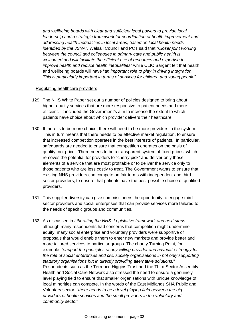*and wellbeing boards with clear and sufficient legal powers to provide local leadership and a strategic framework for coordination of health improvement and addressing health inequalities in local areas, based on local health needs identified by the JSNA*". Walsall Council and PCT said that "*Closer joint working between the council and colleagues in primary care and public health is welcomed and will facilitate the efficient use of resources and expertise to improve health and reduce health inequalities*" while CLIC Sargent felt that health and wellbeing boards will have "*an important role to play in driving integration. This is particularly important in terms of services for children and young people*".

#### Regulating healthcare providers

- 129. The NHS White Paper set out a number of policies designed to bring about higher quality services that are more responsive to patient needs and more efficient. It included the Government's aim to increase the extent to which patients have choice about which provider delivers their healthcare.
- 130. If there is to be more choice, there will need to be more providers in the system. This in turn means that there needs to be effective market regulation, to ensure that increased competition operates in the best interests of patients. In particular, safeguards are needed to ensure that competition operates on the basis of quality, not price. There needs to be a transparent system of fixed prices, which removes the potential for providers to "cherry pick" and deliver only those elements of a service that are most profitable or to deliver the service only to those patients who are less costly to treat. The Government wants to ensure that existing NHS providers can compete on fair terms with independent and third sector providers, to ensure that patients have the best possible choice of qualified providers.
- 131. This supplier diversity can give commissioners the opportunity to engage third sector providers and social enterprises that can provide services more tailored to the needs of specific groups and communities.
- 132. As discussed in *Liberating the NHS: Legislative framework and next steps*, although many respondents had concerns that competition might undermine equity, many social enterprise and voluntary providers were supportive of proposals that would enable them to enter new markets and provide better and more tailored services to particular groups. The charity Turning Point, for example, "*support the principles of any willing provider and advocate strongly for the role of social enterprises and civil society organisations in not only supporting statutory organisations but in directly providing alternative solutions.*" Respondents such as the Terrence Higgins Trust and the Third Sector Assembly Health and Social Care Network also stressed the need to ensure a genuinely level playing field to ensure that smaller organisations with unique knowledge of local minorities can compete. In the words of the East Midlands SHA Public and Voluntary sector, "*there needs to be a level playing field between the big providers of health services and the small providers in the voluntary and community sector*".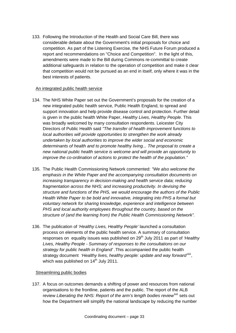133. Following the Introduction of the Health and Social Care Bill, there was considerable debate about the Government's initial proposals for choice and competition. As part of the Listening Exercise, the NHS Future Forum produced a report and recommendations on "Choice and Competition". In the light of this, amendments were made to the Bill during Commons re-committal to create additional safeguards in relation to the operation of competition and make it clear that competition would not be pursued as an end in itself, only where it was in the best interests of patients.

## An integrated public health service

- 134. The NHS White Paper set out the Government's proposals for the creation of a new integrated public health service, Public Health England, to spread and support innovation and help provide disease control and protection. Further detail is given in the public health White Paper, *Healthy Lives, Healthy People*. This was broadly welcomed by many consultation respondents. Leicester City Directors of Public Health said *"The transfer of health improvement functions to local authorities will provide opportunities to strengthen the work already undertaken by local authorities to improve the wider social and economic determinants of health and to promote healthy living... The proposal to create a new national public health service is welcome and will provide an opportunity to improve the co-ordination of actions to protect the health of the population."*
- 135. The Public Health Commissioning Network commented: *"We also welcome the emphasis in the White Paper and the accompanying consultation documents on increasing transparency in decision-making and health service data; reducing fragmentation across the NHS; and increasing productivity. In devising the structure and functions of the PHS, we would encourage the authors of the Public Health White Paper to be bold and innovative, integrating into PHS a formal but voluntary network for sharing knowledge, experience and intelligence between PHS and local authority employees throughout the country, based on the structure of (and the learning from) the Public Health Commissioning Network".*
- 136. The publication of *'Healthy Lives, Healthy People'* launched a consultation process on elements of the public health service. A summary of consultation responses on equality issues was published on 29<sup>th</sup> July 2011 as part of *'Healthy Lives, Healthy People - Summary of responses to the consultations on our strategy for public health in England' .*This accompanied the public health strategy document *'Healthy lives, healthy people: update and way forward<sup>\*xii</sup>.* which was published on  $14<sup>th</sup>$  July 2011.

#### Streamlining public bodies

137. A focus on outcomes demands a shifting of power and resources from national organisations to the frontline, patients and the public. The report of the ALB review *Liberating the NHS: Report of the arm's length bodies review[lxiii](#page-60-1)* sets out how the Department will simplify the national landscape by reducing the number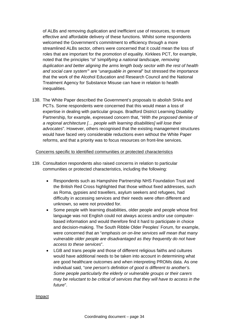of ALBs and removing duplication and inefficient use of resources, to ensure effective and affordable delivery of these functions. Whilst some respondents welcomed the Government's commitment to efficiency through a more streamlined ALBs sector, others were concerned that it could mean the loss of roles that are important for the promotion of equality. Kirklees PCT, for example, noted that the principles "o*f 'simplifying a national landscape, removing duplication and better aligning the arms length body sector with the rest of health and social care system'*" are "*unarguable in general*" but stressed the importance that the work of the Alcohol Education and Research Council and the National Treatment Agency for Substance Misuse can have in relation to health inequalities.

138. The White Paper described the Government's proposals to abolish SHAs and PCTs. Some respondents were concerned that this would mean a loss of expertise in dealing with particular groups. Bradford District Learning Disability Partnership, for example, expressed concern that, "*With the proposed demise of a regional architecture [… people with learning disabilities] will lose their advocates*". However, others recognised that the existing management structures would have faced very considerable reductions even without the White Paper reforms, and that a priority was to focus resources on front-line services.

#### Concerns specific to identified communities or protected characteristics

- 139. Consultation respondents also raised concerns in relation to particular communities or protected characteristics, including the following:
	- Respondents such as Hampshire Partnership NHS Foundation Trust and the British Red Cross highlighted that those without fixed addresses, such as Roma, gypsies and travellers, asylum seekers and refugees, had difficulty in accessing services and their needs were often different and unknown, so were not provided for.
	- Some people with learning disabilities, older people and people whose first language was not English could not always access and/or use computerbased information and would therefore find it hard to participate in choice and decision-making. The South Ribble Older Peoples' Forum, for example, were concerned that an "*emphasis on on-line services will mean that many vulnerable older people are disadvantaged as they frequently do not have access to these services*".
	- LGB and trans people and those of different religious faiths and cultures would have additional needs to be taken into account in determining what are good healthcare outcomes and when interpreting PROMs data. As one individual said, "*one person's definition of good is different to another's. Some people particularly the elderly or vulnerable groups or their carers may be reluctant to be critical of services that they will have to access in the future*".

#### Impact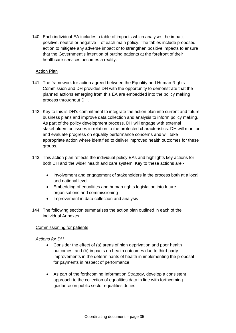140. Each individual EA includes a table of impacts which analyses the impact – positive, neutral or negative – of each main policy. The tables include proposed action to mitigate any adverse impact or to strengthen positive impacts to ensure that the Government's intention of putting patients at the forefront of their healthcare services becomes a reality.

#### Action Plan

- 141. The framework for action agreed between the Equality and Human Rights Commission and DH provides DH with the opportunity to demonstrate that the planned actions emerging from this EA are embedded into the policy making process throughout DH.
- 142. Key to this is DH's commitment to integrate the action plan into current and future business plans and improve data collection and analysis to inform policy making. As part of the policy development process, DH will engage with external stakeholders on issues in relation to the protected characteristics. DH will monitor and evaluate progress on equality performance concerns and will take appropriate action where identified to deliver improved health outcomes for these groups.
- 143. This action plan reflects the individual policy EAs and highlights key actions for both DH and the wider health and care system. Key to these actions are:-
	- Involvement and engagement of stakeholders in the process both at a local and national level
	- Embedding of equalities and human rights legislation into future organisations and commissioning
	- Improvement in data collection and analysis
- 144. The following section summarises the action plan outlined in each of the individual Annexes.

#### Commissioning for patients

#### *Actions for DH*

- Consider the effect of (a) areas of high deprivation and poor health outcomes; and (b) impacts on health outcomes due to third party improvements in the determinants of health in implementing the proposal for payments in respect of performance.
- As part of the forthcoming Information Strategy, develop a consistent approach to the collection of equalities data in line with forthcoming guidance on public sector equalities duties.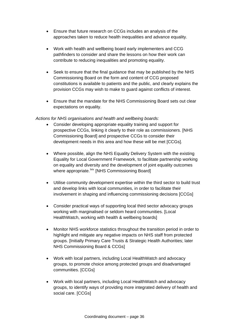- Ensure that future research on CCGs includes an analysis of the approaches taken to reduce health inequalities and advance equality.
- Work with health and wellbeing board early implementers and CCG pathfinders to consider and share the lessons on how their work can contribute to reducing inequalities and promoting equality.
- Seek to ensure that the final quidance that may be published by the NHS Commissioning Board on the form and content of CCG proposed constitutions is available to patients and the public, and clearly explains the provision CCGs may wish to make to guard against conflicts of interest.
- Ensure that the mandate for the NHS Commissioning Board sets out clear expectations on equality.

#### *Actions for NHS organisations and health and wellbeing boards:*

- Consider developing appropriate equality training and support for prospective CCGs, linking it clearly to their role as commissioners. [NHS Commissioning Board] and prospective CCGs to consider their development needs in this area and how these will be met [CCGs].
- Where possible, align the NHS Equality Delivery System with the existing Equality for Local Government Framework, to facilitate partnership working on equality and diversity and the development of joint equality outcomes where appropriate.<sup>Ixiv</sup> [NHS Commissioning Board]
- Utilise community development expertise within the third sector to build trust and develop links with local communities, in order to facilitate their involvement in shaping and influencing commissioning decisions [CCGs]
- Consider practical ways of supporting local third sector advocacy groups working with marginalised or seldom heard communities. [Local HealthWatch, working with health & wellbeing boards]
- Monitor NHS workforce statistics throughout the transition period in order to highlight and mitigate any negative impacts on NHS staff from protected groups. [Initially Primary Care Trusts & Strategic Health Authorities; later NHS Commissioning Board & CCGs]
- Work with local partners, including Local HealthWatch and advocacy groups, to promote choice among protected groups and disadvantaged communities. [CCGs]
- Work with local partners, including Local HealthWatch and advocacy groups, to identify ways of providing more integrated delivery of health and social care. [CCGs]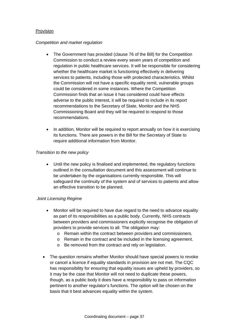#### Provision

#### *Competition and market regulation*

- The Government has provided (clause 76 of the Bill) for the Competition Commission to conduct a review every seven years of competition and regulation in public healthcare services. It will be responsible for considering whether the healthcare market is functioning effectively in delivering services to patients, including those with protected characteristics. Whilst the Commission will not have a specific equality remit, vulnerable groups could be considered in some instances. Where the Competition Commission finds that an issue it has considered could have effects adverse to the public interest, it will be required to include in its report recommendations to the Secretary of State, Monitor and the NHS Commissioning Board and they will be required to respond to those recommendations.
- In addition, Monitor will be required to report annually on how it is exercising its functions. There are powers in the Bill for the Secretary of State to require additional information from Monitor.

#### *Transition to the new policy*

• Until the new policy is finalised and implemented, the regulatory functions outlined in the consultation document and this assessment will continue to be undertaken by the organisations currently responsible. This will safeguard the continuity of the system and of services to patients and allow an effective transition to be planned.

#### *Joint Licensing Regime*

- Monitor will be required to have due regard to the need to advance equality as part of its responsibilities as a public body. Currently, NHS contracts between providers and commissioners explicitly recognise the obligation of providers to provide services to all. The obligation may:
	- o Remain within the contract between providers and commissioners.
	- o Remain in the contract and be included in the licensing agreement.
	- o Be removed from the contract and rely on legislation.
- The question remains whether Monitor should have special powers to revoke or cancel a licence if equality standards in provision are not met. The CQC has responsibility for ensuring that equality issues are upheld by providers, so it may be the case that Monitor will not need to duplicate these powers, though, as a public body it does have a responsibility to pass on information pertinent to another regulator's functions. The option will be chosen on the basis that it best advances equality within the system.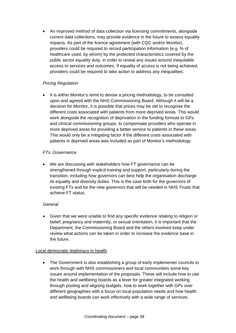• An improved method of data collection via licensing commitments, alongside current data collections, may provide evidence in the future to assess equality impacts. As part of the licence agreement (with CQC and/or Monitor), providers could be required to record participation information (e.g. % of healthcare used, by whom) by the protected characteristics covered by the public sector equality duty, in order to reveal any issues around inequitable access to services and outcomes. If equality of access is not being achieved, providers could be required to take action to address any inequalities.

## *Pricing Regulation*

• It is within Monitor's remit to devise a pricing methodology, to be consulted upon and agreed with the NHS Commissioning Board. Although it will be a decision for Monitor, it is possible that prices may be set to recognise the different costs associated with patients from more deprived areas. This would work alongside the recognition of deprivation in the funding formula to GPs and clinical commissioning groups, to compensate providers who operate in more deprived areas for providing a better service to patients in these areas. This would only be a mitigating factor if the different costs associated with patients in deprived areas was included as part of Monitor's methodology.

## *FTs: Governance*

• We are discussing with stakeholders how FT governance can be strengthened through explicit training and support, particularly during the transition, including how governors can best help the organisation discharge its equality and diversity duties. This is the case both for the governors of existing FTs and for the new governors that will be needed in NHS Trusts that achieve FT status.

## *General*

• Given that we were unable to find any specific evidence relating to religion or belief, pregnancy and maternity, or sexual orientation, it is important that the Department, the Commissioning Board and the others involved keep under review what actions can be taken in order to increase the evidence base in the future.

#### Local democratic legitimacy in health

• The Government is also establishing a group of early implementer councils to work through with NHS commissioners and local communities some key issues around implementation of the proposals. These will include how to use the health and wellbeing boards as a lever for greater integrated working through pooling and aligning budgets, how to work together with GPs over different geographies with a focus on local population needs and how health and wellbeing boards can work effectively with a wide range of services.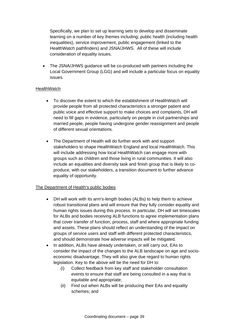Specifically, we plan to set up learning sets to develop and disseminate learning on a number of key themes including; public health (including health inequalities), service improvement, public engagement (linked to the HealthWatch pathfinders) and JSNA/JHWS. All of these will include consideration of equality issues.

• The JSNA/JHWS guidance will be co-produced with partners including the Local Government Group (LGG) and will include a particular focus on equality issues.

## **HealthWatch**

- To discover the extent to which the establishment of HealthWatch will provide people from all protected characteristics a stronger patient and public voice and effective support to make choices and complaints, DH will need to fill gaps in evidence, particularly on people in civil partnerships and married people, people having undergone gender reassignment and people of different sexual orientations.
- The Department of Health will do further work with and support stakeholders to shape HealthWatch England and local HealthWatch. This will include addressing how local HealthWatch can engage more with groups such as children and those living in rural communities. It will also include an equalities and diversity task and finish group that is likely to coproduce, with our stakeholders, a transition document to further advance equality of opportunity.

## The Department of Health's public bodies

- DH will work with its arm's-length bodies (ALBs) to help them to achieve robust transitional plans and will ensure that they fully consider equality and human rights issues during this process. In particular, DH will set timescales for ALBs and bodies receiving ALB functions to agree implementation plans that cover transfer of function, process, staff and where appropriate funding and assets. These plans should reflect an understanding of the impact on groups of service users and staff with different protected characteristics, and should demonstrate how adverse impacts will be mitigated.
- In addition, ALBs have already undertaken, or will carry out, EAs to consider the impact of the changes to the ALB landscape on age and socioeconomic disadvantage. They will also give due regard to human rights legislation. Key to the above will be the need for DH to:
	- (i) Collect feedback from key staff and stakeholder consultation events to ensure that staff are being consulted in a way that is equitable and appropriate;
	- (ii) Find out when ALBs will be producing their EAs and equality schemes; and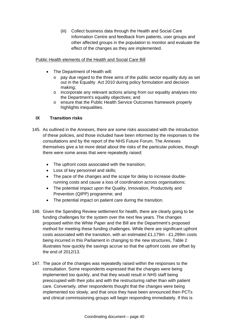(iii) Collect business data through the Health and Social Care Information Centre and feedback from patients, user groups and other affected groups in the population to monitor and evaluate the effect of the changes as they are implemented.

#### Public Health elements of the Health and Social Care Bill

- The Department of Health will:
	- o pay due regard to the three aims of the public sector equality duty as set out in the Equality Act 2010 during policy formulation and decision making;
	- $\circ$  incorporate any relevant actions arising from our equality analyses into the Department's equality objectives; and
	- o ensure that the Public Health Service Outcomes framework properly highlights inequalities.

## **IX Transition risks**

- 145. As outlined in the Annexes, there are some risks associated with the introduction of these policies, and those included have been informed by the responses to the consultations and by the report of the NHS Future Forum. The Annexes themselves give a lot more detail about the risks of the particular policies, though there were some areas that were repeatedly raised:
	- The upfront costs associated with the transition;
	- Loss of key personnel and skills;
	- The pace of the changes and the scope for delay to increase doublerunning costs and cause a loss of coordination across organisations;
	- The potential impact upon the Quality, Innovation, Productivity and Prevention (QIPP) programme; and
	- The potential impact on patient care during the transition.
- 146. Given the Spending Review settlement for health, there are clearly going to be funding challenges for the system over the next few years. The changes proposed within the White Paper and the Bill are the Department's proposed method for meeting these funding challenges. While there are significant upfront costs associated with the transition, with an estimated £1,179m - £1,299m costs being incurred in this Parliament in changing to the new structures, Table 2 illustrates how quickly the savings accrue so that the upfront costs are offset by the end of 2012/13.
- 147. The pace of the changes was repeatedly raised within the responses to the consultation. Some respondents expressed that the changes were being implemented too quickly, and that they would result in NHS staff being preoccupied with their jobs and with the restructuring rather than with patient care. Conversely, other respondents thought that the changes were being implemented too slowly, and that once they have been announced then PCTs and clinical commissioning groups will begin responding immediately. If this is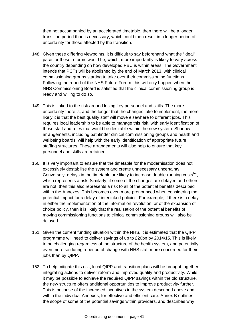then not accompanied by an accelerated timetable, then there will be a longer transition period than is necessary, which could then result in a longer period of uncertainty for those affected by the transition.

- 148. Given these differing viewpoints, it is difficult to say beforehand what the "ideal" pace for these reforms would be, which, more importantly is likely to vary across the country depending on how developed PBC is within areas. The Government intends that PCTs will be abolished by the end of March 2013, with clinical commissioning groups starting to take over their commissioning functions. Following the report of the NHS Future Forum, this will only happen when the NHS Commissioning Board is satisfied that the clinical commissioning group is ready and willing to do so.
- 149. This is linked to the risk around losing key personnel and skills. The more uncertainty there is, and the longer that the changes take to implement, the more likely it is that the best quality staff will move elsewhere to different jobs. This requires local leadership to be able to manage this risk, with early identification of those staff and roles that would be desirable within the new system. Shadow arrangements, including pathfinder clinical commissioning groups and health and wellbeing boards, will help with the early identification of appropriate future staffing structures. These arrangements will also help to ensure that key personnel and skills are retained.
- 150. It is very important to ensure that the timetable for the modernisation does not excessively destabilise the system and create unnecessary uncertainty. Conversely, delays in the timetable are likely to increase double-running costs<sup>[lxv](#page-60-1)</sup>, which represents a risk. Similarly, if some of the changes are delayed and others are not, then this also represents a risk to all of the potential benefits described within the Annexes. This becomes even more pronounced when considering the potential impact for a delay of interlinked policies. For example, if there is a delay in either the implementation of the information revolution, or of the expansion of choice policy, then it is likely that the realisation of the potential benefits of moving commissioning functions to clinical commissioning groups will also be delayed.
- 151. Given the current funding situation within the NHS, it is estimated that the QIPP programme will need to deliver savings of up to £20bn by 2014/15. This is likely to be challenging regardless of the structure of the health system, and potentially even more so during a period of change with NHS staff more concerned for their jobs than by QIPP.
- 152. To help mitigate this risk, local QIPP and transition plans will be brought together, integrating actions to deliver reform and improved quality and productivity. While it may be possible to achieve the required QIPP savings within the old structure, the new structure offers additional opportunities to improve productivity further. This is because of the increased incentives in the system described above and within the individual Annexes, for effective and efficient care. Annex B outlines the scope of some of the potential savings within providers, and describes why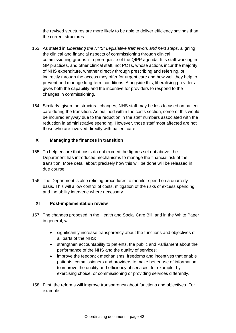the revised structures are more likely to be able to deliver efficiency savings than the current structures.

- 153. As stated in *Liberating the NHS: Legislative framework and next steps*, aligning the clinical and financial aspects of commissioning through clinical commissioning groups is a prerequisite of the QIPP agenda. It is staff working in GP practices, and other clinical staff, not PCTs, whose actions incur the majority of NHS expenditure, whether directly through prescribing and referring, or indirectly through the access they offer for urgent care and how well they help to prevent and manage long-term conditions. Alongside this, liberalising providers gives both the capability and the incentive for providers to respond to the changes in commissioning.
- 154. Similarly, given the structural changes, NHS staff may be less focused on patient care during the transition. As outlined within the costs section, some of this would be incurred anyway due to the reduction in the staff numbers associated with the reduction in administrative spending. However, those staff most affected are not those who are involved directly with patient care.

## **X Managing the finances in transition**

- 155. To help ensure that costs do not exceed the figures set out above, the Department has introduced mechanisms to manage the financial risk of the transition. More detail about precisely how this will be done will be released in due course.
- 156. The Department is also refining procedures to monitor spend on a quarterly basis. This will allow control of costs, mitigation of the risks of excess spending and the ability intervene where necessary.

#### **XI Post-implementation review**

- 157. The changes proposed in the Health and Social Care Bill, and in the White Paper in general, will:
	- significantly increase transparency about the functions and objectives of all parts of the NHS;
	- strengthen accountability to patients, the public and Parliament about the performance of the NHS and the quality of services;
	- improve the feedback mechanisms, freedoms and incentives that enable patients, commissioners and providers to make better use of information to improve the quality and efficiency of services: for example, by exercising choice, or commissioning or providing services differently.
- 158. First, the reforms will improve transparency about functions and objectives. For example: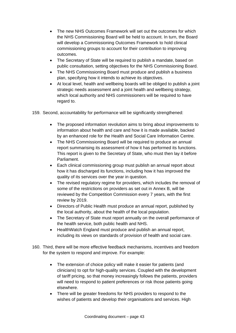- The new NHS Outcomes Framework will set out the outcomes for which the NHS Commissioning Board will be held to account. In turn, the Board will develop a Commissioning Outcomes Framework to hold clinical commissioning groups to account for their contribution to improving outcomes.
- The Secretary of State will be required to publish a mandate, based on public consultation, setting objectives for the NHS Commissioning Board.
- The NHS Commissioning Board must produce and publish a business plan, specifying how it intends to achieve its objectives.
- At local level, health and wellbeing boards will be obliged to publish a joint strategic needs assessment and a joint health and wellbeing strategy, which local authority and NHS commissioners will be required to have regard to.
- 159. Second, accountability for performance will be significantly strengthened:
	- The proposed information revolution aims to bring about improvements to information about health and care and how it is made available, backed by an enhanced role for the Health and Social Care Information Centre.
	- The NHS Commissioning Board will be required to produce an annual report summarising its assessment of how it has performed its functions. This report is given to the Secretary of State, who must then lay it before Parliament.
	- Each clinical commissioning group must publish an annual report about how it has discharged its functions, including how it has improved the quality of its services over the year in question.
	- The revised regulatory regime for providers, which includes the removal of some of the restrictions on providers as set out in Annex B, will be reviewed by the Competition Commission every 7 years, with the first review by 2019.
	- Directors of Public Health must produce an annual report, published by the local authority, about the health of the local population.
	- The Secretary of State must report annually on the overall performance of the health service, both public health and NHS.
	- HealthWatch England must produce and publish an annual report, including its views on standards of provision of health and social care.
- 160. Third, there will be more effective feedback mechanisms, incentives and freedom for the system to respond and improve. For example:
	- The extension of choice policy will make it easier for patients (and clinicians) to opt for high-quality services. Coupled with the development of tariff pricing, so that money increasingly follows the patients, providers will need to respond to patient preferences or risk those patients going elsewhere.
	- There will be greater freedoms for NHS providers to respond to the wishes of patients and develop their organisations and services. High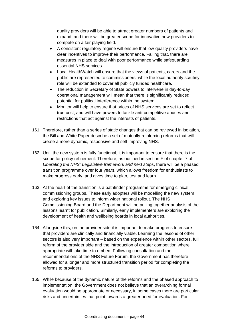quality providers will be able to attract greater numbers of patients and expand, and there will be greater scope for innovative new providers to compete on a fair playing field.

- A consistent regulatory regime will ensure that low-quality providers have clear incentives to improve their performance. Failing that, there are measures in place to deal with poor performance while safeguarding essential NHS services.
- Local HealthWatch will ensure that the views of patients, carers and the public are represented to commissioners, while the local authority scrutiny role will be extended to cover all publicly funded healthcare.
- The reduction in Secretary of State powers to intervene in day-to-day operational management will mean that there is significantly reduced potential for political interference within the system.
- Monitor will help to ensure that prices of NHS services are set to reflect true cost, and will have powers to tackle anti-competitive abuses and restrictions that act against the interests of patients.
- 161. Therefore, rather than a series of static changes that can be reviewed in isolation, the Bill and White Paper describe a set of mutually-reinforcing reforms that will create a more dynamic, responsive and self-improving NHS.
- 162. Until the new system is fully functional, it is important to ensure that there is the scope for policy refinement. Therefore, as outlined in section F of chapter 7 of *Liberating the NHS: Legislative framework and next steps*, there will be a phased transition programme over four years, which allows freedom for enthusiasts to make progress early, and gives time to plan, test and learn.
- 163. At the heart of the transition is a pathfinder programme for emerging clinical commissioning groups. These early adopters will be modelling the new system and exploring key issues to inform wider national rollout. The NHS Commissioning Board and the Department will be pulling together analysis of the lessons learnt for publication. Similarly, early implementers are exploring the development of health and wellbeing boards in local authorities.
- 164. Alongside this, on the provider side it is important to make progress to ensure that providers are clinically and financially viable. Learning the lessons of other sectors is also very important – based on the experience within other sectors, full reform of the provider side and the introduction of greater competition where appropriate will take time to embed. Following consultation and the recommendations of the NHS Future Forum, the Government has therefore allowed for a longer and more structured transition period for completing the reforms to providers.
- 165. While because of the dynamic nature of the reforms and the phased approach to implementation, the Government does not believe that an overarching formal evaluation would be appropriate or necessary, in some cases there are particular risks and uncertainties that point towards a greater need for evaluation. For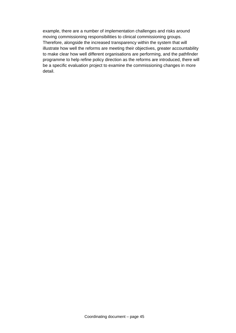example, there are a number of implementation challenges and risks around moving commissioning responsibilities to clinical commissioning groups. Therefore, alongside the increased transparency within the system that will illustrate how well the reforms are meeting their objectives, greater accountability to make clear how well different organisations are performing, and the pathfinder programme to help refine policy direction as the reforms are introduced, there will be a specific evaluation project to examine the commissioning changes in more detail.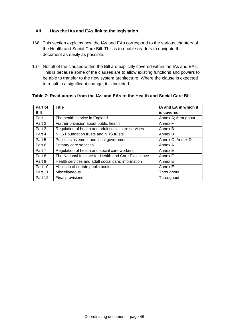### **XII How the IAs and EAs link to the legislation**

- 166. This section explains how the IAs and EAs correspond to the various chapters of the Health and Social Care Bill. This is to enable readers to navigate this document as easily as possible.
- 167. Not all of the clauses within the Bill are explicitly covered within the IAs and EAs. This is because some of the clauses are to allow existing functions and powers to be able to transfer to the new system architecture. Where the clause is expected to result in a significant change, it is included.

| Part of     | <b>Title</b>                                          | IA and EA in which it |
|-------------|-------------------------------------------------------|-----------------------|
| <b>Bill</b> |                                                       | is covered            |
| Part 1      | The health service in England                         | Annex A; throughout   |
| Part 2      | Further provision about public health                 | Annex F               |
| Part 3      | Regulation of health and adult social care services   | Annex B               |
| Part 4      | NHS Foundation trusts and NHS trusts                  | Annex B               |
| Part 5      | Public involvement and local government               | Annex C; Annex D      |
| Part 6      | Primary care services                                 | Annex A               |
| Part 7      | Regulation of health and social care workers          | Annex E               |
| Part 8      | The National Institute for Health and Care Excellence | Annex E               |
| Part 9      | Health services and adult social care: information    | Annex E               |
| Part 10     | Abolition of certain public bodies                    | Annex E               |
| Part 11     | Miscellaneous                                         | Throughout            |
| Part 12     | Final provisions                                      | Throughout            |

#### **Table 7: Read-across from the IAs and EAs to the Health and Social Care Bill**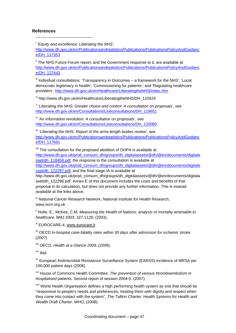#### **References**

1

i '*Equity and excellence: Liberating the NHS*',

[http://www.dh.gov.uk/en/Publicationsandstatistics/Publications/PublicationsPolicyAndGuidanc](http://www.dh.gov.uk/en/Publicationsandstatistics/Publications/PublicationsPolicyAndGuidance/DH_117353) [e/DH\\_117353](http://www.dh.gov.uk/en/Publicationsandstatistics/Publications/PublicationsPolicyAndGuidance/DH_117353) 

<sup>ii</sup> The NHS Future Forum report, and the Government response to it, are available at [http://www.dh.gov.uk/en/Publicationsandstatistics/Publications/PublicationsPolicyAndGuidanc](http://www.dh.gov.uk/en/Publicationsandstatistics/Publications/PublicationsPolicyAndGuidance/DH_127443) [e/DH\\_127443](http://www.dh.gov.uk/en/Publicationsandstatistics/Publications/PublicationsPolicyAndGuidance/DH_127443)

III Individual consultations: 'Transparency in Outcomes – a framework for the NHS'; 'Local democratic legitimacy in health'; 'Commissioning for patients'; and 'Regulating healthcare providers'. <http://www.dh.gov.uk/en/Healthcare/LiberatingtheNHS/index.htm>

iv http://www.dh.gov.uk/en/Healthcare/LiberatingtheNHS/DH\_122624

v '*Liberating the NHS: Greater choice and control: A consultation on proposals*', see [http://www.dh.gov.uk/en/Consultations/Liveconsultations/DH\\_119651](http://www.dh.gov.uk/en/Consultations/Liveconsultations/DH_119651) 

vi '*An information revolution: A consultation on proposals*', see [http://www.dh.gov.uk/en/Consultations/Liveconsultations/DH\\_120080](http://www.dh.gov.uk/en/Consultations/Liveconsultations/DH_120080) 

vii '*Liberating the NHS: Report of the arms-length bodies review*', see [http://www.dh.gov.uk/en/Publicationsandstatistics/Publications/PublicationsPolicyAndGuidanc](http://www.dh.gov.uk/en/Publicationsandstatistics/Publications/PublicationsPolicyAndGuidance/DH_117691) [e/DH\\_117691](http://www.dh.gov.uk/en/Publicationsandstatistics/Publications/PublicationsPolicyAndGuidance/DH_117691)

viii The consultation for the proposed abolition of OHPA is available at [http://www.dh.gov.uk/prod\\_consum\\_dh/groups/dh\\_digitalassets/@dh/@en/documents/digitala](http://www.dh.gov.uk/prod_consum_dh/groups/dh_digitalassets/@dh/@en/documents/digitalasset/dh_118459.pdf) [sset/dh\\_118459.pdf,](http://www.dh.gov.uk/prod_consum_dh/groups/dh_digitalassets/@dh/@en/documents/digitalasset/dh_118459.pdf) the response to the consultation is available at

[http://www.dh.gov.uk/prod\\_consum\\_dh/groups/dh\\_digitalassets/@dh/@en/documents/digitala](http://www.dh.gov.uk/prod_consum_dh/groups/dh_digitalassets/@dh/@en/documents/digitalasset/dh_122297.pdf) [sset/dh\\_122297.pdf,](http://www.dh.gov.uk/prod_consum_dh/groups/dh_digitalassets/@dh/@en/documents/digitalasset/dh_122297.pdf) and the final stage IA is available at

http://www.dh.gov.uk/prod\_consum\_dh/groups/dh\_digitalassets/@dh/@en/documents/digitala sset/dh\_122296.pdf. Annex E of this document includes the costs and benefits of that proposal in its calculation, but does not provide any further information. This is instead available at the links above.

<sup>ix</sup> National Cancer Research Network, National Institute for Health Research, www.ncrn.org.uk

x Nolte, E., McKee, C.M, *Measuring the Health of Nations: analysis of mortality amenable to healthcare.* BMJ 2003; 327:1129; (2003).

xi EUROCARE-4, www.eurocare.it

xii OECD *In-hospital case-fatality rates within 30 days after admission for ischemic stroke (2007)*

xiii OECD, *Health at a Glance 2009,* (2009).

xiv Ibid.

xv European Antimicrobial Resistance Surveillance System (EARSS) incidence of MRSA per 100,000 patient days (2008).

xvi House of Commons Health Committee. *The prevention of venous thromboembolism in hospitalised patients*. Second report of session 2004-5. (2007).

<sup>xvii</sup> World Health Organisation defines a high performing health system as one that should be "responsive to people's needs and preferences, treating them with dignity and respect when they come into contact with the system", *The Tallinn Charter: Health Systems for Health and Wealth Draft Charter.* WHO, (2008).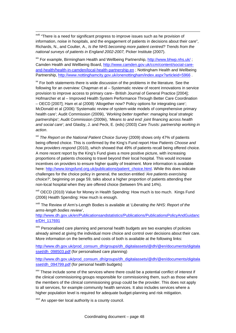xviii "There is a need for significant progress to improve issues such as he provision of information, noise in hospitals, and the engagement of patients in decisions about their care", Richards, N., and Coulter, A., *Is the NHS becoming more patient centred? Trends from the national surveys of patients in England 2002-2007,* Picker Institute (2007).

xix For example, Birmingham Health and Wellbeing Partnership,<http://www.bhwp.nhs.uk/>; Camden Health and Wellbeing Board, [http://www.camden.gov.uk/ccm/content/social-care](http://www.camden.gov.uk/ccm/content/social-care-and-health/health-in-camden/local-health-partnership.en)[and-health/health-in-camden/local-health-partnership.en](http://www.camden.gov.uk/ccm/content/social-care-and-health/health-in-camden/local-health-partnership.en) ; Nottingham Health and Wellbeing Partnership, <http://www.nottinghamcity.gov.uk/onenottingham/index.aspx?articleid=5966>.

 $x^*$  For both statements there is wide discussion of the problems in the literature. See the following for an overview: Chapman et al – Systematic review of recent innovations in service provision to improve access to primary care– British Journal of General Practice [2004]; Hofmarcher et al – Improved Health System Performance Through Better Care Coordination – OECD [2007]; Ham et al (2008) 'Altogether now? Policy options for integrating care'; McDonald et al (2006) 'Systematic review of system-wide models of comprehensive primary health care'; Audit Commission (2009i), '*Working better together: managing local strategic partnerships*'; Audit Commission (2009ii), '*Means to and end: joint financing across health and social care*'; and Glasby, J. and Peck, E. (eds) (2003) *Care Trusts: partnership working in action*.

<sup>xxi</sup> *The Report on the National Patient Choice Survey* (2009) shows only 47% of patients being offered choice. This is confirmed by the King's Fund report *How Patients Choose and how providers respond* (2010), which showed that 49% of patients recall being offered choice. A more recent report by the King's Fund gives a more positive picture, with increasing proportions of patients choosing to travel beyond their local hospital. This would increase incentives on providers to ensure higher quality of treatment. More information is available here: [http://www.kingsfund.org.uk/publications/patient\\_choice.html.](http://www.kingsfund.org.uk/publications/patient_choice.html) While this does indicate challenges for the choice policy in general, the section entitled *'Are patients exercising choice?'*, beginning on page 59, talks about a higher proportion of patients attending their non-local hospital when they are offered choice (between 5% and 14%).

<sup>xxii</sup> OECD (2010) Value for Money in Health Spending: How much is too much. Kings Fund (2006) Health Spending: How much is enough.

xxiii The Review of Arm's-Length Bodies is available at '*Liberating the NHS: Report of the arms-length bodies review*',

[http://www.dh.gov.uk/en/Publicationsandstatistics/Publications/PublicationsPolicyAndGuidanc](http://www.dh.gov.uk/en/Publicationsandstatistics/Publications/PublicationsPolicyAndGuidance/DH_117691) [e/DH\\_117691](http://www.dh.gov.uk/en/Publicationsandstatistics/Publications/PublicationsPolicyAndGuidance/DH_117691)

xxiv Personalised care planning and personal health budgets are two examples of policies already aimed at giving the individual more choice and control over decisions about their care. More information on the benefits and costs of both is available at the following links:

[http://www.dh.gov.uk/prod\\_consum\\_dh/groups/dh\\_digitalassets/@dh/@en/documents/digitala](http://www.dh.gov.uk/prod_consum_dh/groups/dh_digitalassets/@dh/@en/documents/digitalasset/dh_098503.pdf) [sset/dh\\_098503.pdf](http://www.dh.gov.uk/prod_consum_dh/groups/dh_digitalassets/@dh/@en/documents/digitalasset/dh_098503.pdf) (for personalised care planning)

[http://www.dh.gov.uk/prod\\_consum\\_dh/groups/dh\\_digitalassets/@dh/@en/documents/digitala](http://www.dh.gov.uk/prod_consum_dh/groups/dh_digitalassets/@dh/@en/documents/digitalasset/dh_094799.pdf) [sset/dh\\_094799.pdf](http://www.dh.gov.uk/prod_consum_dh/groups/dh_digitalassets/@dh/@en/documents/digitalasset/dh_094799.pdf) (for personal health budgets)

**XXV** These include some of the services where there could be a potential conflict of interest if the clinical commissioning groups responsible for commissioning them, such as those where the members of the clinical commissioning group could be the provider. This does not apply to all services, for example community health services. It also includes services where a higher population level is required for adequate budget-planning and risk mitigation.

<sup>xxvi</sup> An upper-tier local authority is a county council.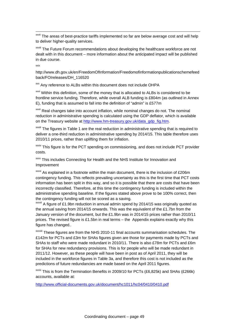xxvii The areas of best-practice tariffs implemented so far are below average cost and will help to deliver higher-quality services.

**xxviii** The Future Forum recommendations about developing the healthcare workforce are not dealt with in this document – more information about the anticipated impact will be published in due course.

xxix

http://www.dh.gov.uk/en/FreedomOfInformation/Freedomofinformationpublicationschemefeed back/FOIreleases/DH\_116520

xxx Any reference to ALBs within this document does not include OHPA

xxxi Within this definition, some of the money that is allocated to ALBs is considered to be frontline service funding. Therefore, while overall ALB funding is £804m (as outlined in Annex E), funding that is assumed to fall into the definition of "admin" is £577m

xxxii Real changes take into account inflation, while nominal changes do not. The nominal reduction in administrative spending is calculated using the GDP deflator, which is available on the Treasury website at [http://www.hm-treasury.gov.uk/data\\_gdp\\_fig.htm.](http://www.hm-treasury.gov.uk/data_gdp_fig.htm)

**xxxiii** The figures in Table 1 are the real reduction in administrative spending that is required to deliver a one-third reduction in administrative spending by 2014/15. This table therefore uses 2010/11 prices, rather than uplifting them for inflation.

xxxiv This figure is for the PCT spending on commissioning, and does not include PCT provider costs.

**xxxv** This includes Connecting for Health and the NHS Institute for Innovation and Improvement

 $xxxv$ <sup>i</sup> As explained in a footnote within the main document, there is the inclusion of £206m contingency funding. This reflects prevailing uncertainty as this is the first time that PCT costs information has been split in this way, and so it is possible that there are costs that have been incorrectly classified. Therefore, at this time the contingency funding is included within the administrative spending baseline. If the figures stated above prove to be 100% correct, then the contingency funding will not be scored as a saving.

xxxvii A figure of £1.9bn reduction in annual admin spend by 2014/15 was originally quoted as the annual saving from 2014/15 onwards. This was the equivalent of the £1.7bn from the January version of the document, but the £1.9bn was in 2014/15 prices rather than 2010/11 prices. The revised figure is £1.5bn in real terms – the Appendix explains exactly why this figure has changed..

xxxviii These figures are from the NHS 2010-11 final accounts summarisation schedules. The £142m for PCTs and £3m for SHAs figures given are those for payments made by PCTs and SHAs to staff who were made redundant in 2010/11. There is also £78m for PCTs and £6m for SHAs for new redundancy provisions. This is for people who will be made redundant in 2011/12. However, as these people will have been in post as of April 2011, they will be included in the workforce figures in Table 3a, and therefore this cost is not included as the predictions of future redundancies are made based on the April 2011 figures.

 $x\text{ axis}$  This is from the Termination Benefits in 2009/10 for PCTs (£6,825k) and SHAs (£266k) accounts, available at:

<http://www.official-documents.gov.uk/document/hc1011/hc04/0410/0410.pdf>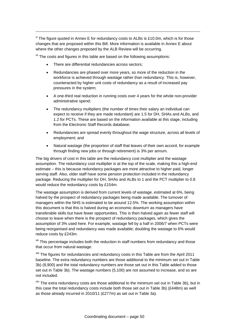$x$ <sup>1</sup> The figure quoted in Annex E for redundancy costs to ALBs is £10.0m, which is for those changes that are proposed within this Bill. More information is available in Annex E about where the other changes proposed by the ALB Review will be occurring.

 $x<sup>iii</sup>$  The costs and figures in this table are based on the following assumptions:

There are differential redundancies across sectors:

1

- Redundancies are phased over more years, so more of the reduction in the workforce is achieved through wastage rather than redundancy. This is, however, counteracted by higher unit costs of redundancy as a result of increased pay pressures in the system;
- A one-third real reduction in running costs over 4 years for the whole non-provider administrative spend;
- The redundancy multipliers (the number of times their salary an individual can expect to receive if they are made redundant) are 1.5 for DH, SHAs and ALBs, and 1.2 for PCTs. These are based on the information available at this stage, including from the Electronic Staff Records database;
- Redundancies are spread evenly throughout the wage structure, across all levels of employment; and
- Natural wastage (the proportion of staff that leaves of their own accord, for example through finding new jobs or through retirement) is 3% per annum.

The big drivers of cost in this table are the redundancy cost multiplier and the wastage assumption. The redundancy cost multiplier is at the top of the scale, making this a high-end estimate – this is because redundancy packages are more attractive to higher paid, longer serving staff. Also, older staff have some pension protection included in the redundancy package. Reducing the multiplier for DH, SHAs and ALBs to 1 and the PCT multiplier to 0.8 would reduce the redundancy costs by £154m.

The wastage assumption is derived from current levels of wastage, estimated at 6%, being halved by the prospect of redundancy packages being made available. The turnover of managers within the NHS is estimated to be around 12.5%. The working assumption within this document is that this is halved during an economic downturn as managers have transferable skills but have fewer opportunities. This is then halved again as fewer staff will choose to leave when there is the prospect of redundancy packages, which gives the assumption of 3% used here. For example, wastage fell by a half in 2006/7 when PCTs were being reorganised and redundancy was made available; doubling the wastage to 6% would reduce costs by £243m.

<sup>xlii</sup> This percentage includes both the reduction in staff numbers from redundancy and those that occur from natural wastage.

xliii The figures for redundancies and redundancy costs in this Table are from the April 2011 baseline. The extra redundancy numbers are those additional to the minimum set out in Table 3b) (8,900) and the total redundancy numbers are those set out in this Table added to those set out in Table 3b). The wastage numbers (5,100) are not assumed to increase, and so are not included.

<sup>xliv</sup> The extra redundancy costs are those additional to the minimum set out in Table 3b), but in this case the total redundancy costs include both those set out in Table 3b) (£448m) as well as those already incurred in 2010/11 (£277m) as set out in Table 3a).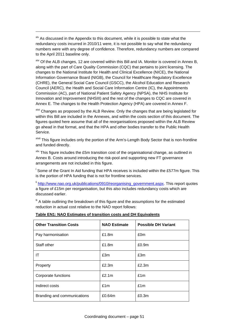x<sup>lv</sup> As discussed in the Appendix to this document, while it is possible to state what the redundancy costs incurred in 2010/11 were, it is not possible to say what the redundancy numbers were with any degree of confidence. Therefore, redundancy numbers are compared to the April 2011 baseline only.

1

xlvi Of the ALB changes, 12 are covered within this Bill and IA. Monitor is covered in Annex B, along with the part of Care Quality Commission (CQC) that pertains to joint licensing. The changes to the National Institute for Health and Clinical Excellence (NICE), the National Information Governance Board (NIGB), the Council for Healthcare Regulatory Excellence (CHRE), the General Social Care Council (GSCC), the Alcohol Education and Research Council (AERC), the Health and Social Care Information Centre (IC), the Appointments Commission (AC), part of National Patient Safety Agency (NPSA), the NHS Institute for Innovation and Improvement (NHSIII) and the rest of the changes to CQC are covered in Annex E. The changes to the Health Protection Agency (HPA) are covered in Annex F.

xlvii Changes as proposed by the ALB Review. Only the changes that are being legislated for within this Bill are included in the Annexes, and within the costs section of this document. The figures quoted here assume that all of the reorganisations proposed within the ALB Review go ahead in that format, and that the HPA and other bodies transfer to the Public Health Service.

xlviii This figure includes only the portion of the Arm's-Length Body Sector that is non-frontline and funded directly.

 $x$ lix This figure includes the £5m transition cost of the organisational change, as outlined in Annex B. Costs around introducing the risk-pool and supporting new FT governance arrangements are not included in this figure.

<sup>1</sup> Some of the Grant In Aid funding that HPA receives is included within the £577m figure. This is the portion of HPA funding that is not for frontline services.

li [http://www.nao.org.uk/publications/0910/reorganising\\_government.aspx](http://www.nao.org.uk/publications/0910/reorganising_government.aspx). This report quotes a figure of £15m per reorganisation, but this also includes redundancy costs which are discussed earlier.

<sup>Iii</sup> A table outlining the breakdown of this figure and the assumptions for the estimated reduction in actual cost relative to the NAO report follows:

| <b>Other Transition Costs</b> | <b>NAO Estimate</b> | <b>Possible DH Variant</b> |
|-------------------------------|---------------------|----------------------------|
| Pay harmonisation             | £1.8m               | £0m                        |
| Staff other                   | £1.8m               | £0.9 <sub>m</sub>          |
| ΙT                            | £3m                 | £3m                        |
| Property                      | £2.3m               | £2.3m                      |
| Corporate functions           | £2.1m               | £1m                        |
| Indirect costs                | £1m                 | £1m                        |
| Branding and communications   | £0.64m              | £0.3m                      |

#### **Table EN1: NAO Estimates of transition costs and DH Equivalents**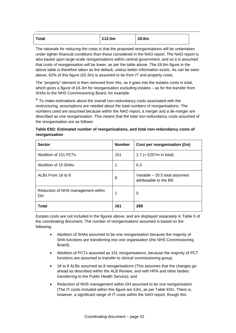| <b>Total</b> | £12.5m | £8.6m |  |
|--------------|--------|-------|--|

The rationale for reducing the costs is that the proposed reorganisations will be undertaken under tighter financial conditions than those considered in the NAO report. The NAO report is also based upon large-scale reorganisations within central government, and so it is assumed that costs of reorganisation will be lower, as per the table above. The £8.6m figure in the above table is therefore taken as the default, unless better information exists. As can be seen above, 62% of this figure (£5.3m) is assumed to be from IT and property costs.

The "property" element is then removed from this, as it goes into the estates costs in total, which gives a figure of £6.3m for reorganisation excluding estates – as for the transfer from SHAs to the NHS Commissioning Board, for example.

liii To make estimations about the overall non-redundancy costs associated with the restructuring, assumptions are needed about the total numbers of reorganisations. The numbers used are assumed because within the NAO report, a merger and a de-merger are described as one reorganisation. This means that the total non-redundancy costs assumed of the reorganisation are as follows:

| <b>Sector</b>                                   | <b>Number</b> | Cost per reorganisation (£m)                              |
|-------------------------------------------------|---------------|-----------------------------------------------------------|
| Abolition of 151 PCTs                           | 151           | 1.7 (= £257m in total)                                    |
| Abolition of 10 SHAs                            | 1             | 6.3                                                       |
| ALBs From 18 to 8                               | 8             | Variable - 20.5 total assumed<br>attributable to the Bill |
| Reduction of NHS management within<br><b>DH</b> |               | 5                                                         |
| <b>Total</b>                                    | 161           | 289                                                       |

| Table EN2: Estimated number of reorganisations, and total non-redundancy costs of |
|-----------------------------------------------------------------------------------|
| reorganisation                                                                    |

Estates costs are not included in the figures above, and are displayed separately in Table 5 of the coordinating document. The number of reorganisations assumed is based on the following:

- Abolition of SHAs assumed to be one reorganisation because the majority of SHA functions are transferring into one organisation (the NHS Commissioning Board);
- Abolition of PCTs assumed as 151 reorganisations, because the majority of PCT functions are assumed to transfer to clinical commissioning group;
- 18 to 8 ALBs assumed as 8 reorganisations (This assumes that the changes go ahead as described within the ALB Review, and with HPA and other bodies transferring to the Public Health Service); and
- Reduction of NHS management within DH assumed to be one reorganisation (The IT costs included within this figure are £3m, as per Table EN1. There is, however, a significant range of IT costs within the NAO report, though this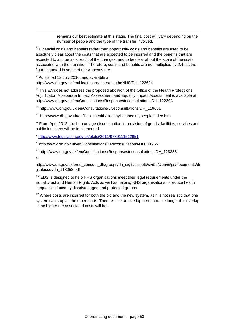remains our best estimate at this stage. The final cost will vary depending on the number of people and the type of the transfer involved.

 $\frac{1}{2}$  Financial costs and benefits rather than opportunity costs and benefits are used to be absolutely clear about the costs that are expected to be incurred and the benefits that are expected to accrue as a result of the changes, and to be clear about the scale of the costs associated with the transition. Therefore, costs and benefits are not multiplied by 2.4, as the figures quoted in some of the Annexes are.

 $\mu$  Published 12 July 2010, and available at http://www.dh.gov.uk/en/Healthcare/LiberatingtheNHS/DH\_122624

1

<sup>Mi</sup> This EA does not address the proposed abolition of the Office of the Health Professions Adjudicator. A separate Impact Assessment and Equality Impact Assessment is available at http://www.dh.gov.uk/en/Consultations/Responsestoconsultations/DH\_122293

lvii http://www.dh.gov.uk/en/Consultations/Liveconsultations/DH\_119651

lviii http://www.dh.gov.uk/en/Publichealth/Healthyliveshealthypeople/index.htm

 $\frac{1}{x}$  From April 2012, the ban on age discrimination in provision of goods, facilities, services and public functions will be implemented.

lx <http://www.legislation.gov.uk/ukdsi/2011/9780111512951>

<sup>lxi</sup> http://www.dh.gov.uk/en/Consultations/Liveconsultations/DH\_119651

lxii http://www.dh.gov.uk/en/Consultations/Responsestoconsultations/DH\_128838 lxiii

http://www.dh.gov.uk/prod\_consum\_dh/groups/dh\_digitalassets/@dh/@en/@ps/documents/di gitalasset/dh\_118053.pdf

<sup>Ixiv</sup> EDS is designed to help NHS organisations meet their legal requirements under the Equality act and Human Rights Acts as well as helping NHS organisations to reduce health inequalities faced by disadvantaged and protected groups.

<sup>Ixv</sup> Where costs are incurred for both the old and the new system, as it is not realistic that one system can stop as the other starts. There will be an overlap here, and the longer this overlap is the higher the associated costs will be.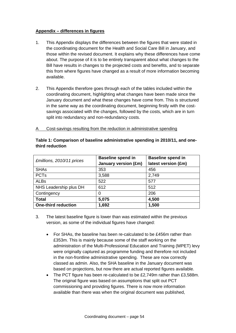#### **Appendix – differences in figures**

- 1. This Appendix displays the differences between the figures that were stated in the coordinating document for the Health and Social Care Bill in January, and those within the revised document. It explains why these differences have come about. The purpose of it is to be entirely transparent about what changes to the Bill have results in changes to the projected costs and benefits, and to separate this from where figures have changed as a result of more information becoming available.
- 2. This Appendix therefore goes through each of the tables included within the coordinating document, highlighting what changes have been made since the January document and what these changes have come from. This is structured in the same way as the coordinating document, beginning firstly with the costsavings associated with the changes, followed by the costs, which are in turn split into redundancy and non-redundancy costs.
- A Cost-savings resulting from the reduction in administrative spending

| £millions, 2010/11 prices  | <b>Baseline spend in</b>    | <b>Baseline spend in</b> |  |
|----------------------------|-----------------------------|--------------------------|--|
|                            | <b>January version (£m)</b> | latest version (£m)      |  |
| <b>SHAs</b>                | 353                         | 456                      |  |
| <b>PCTs</b>                | 3,588                       | 2,749                    |  |
| <b>ALBs</b>                | 522                         | 577                      |  |
| NHS Leadership plus DH     | 612                         | 512                      |  |
| Contingency                | O                           | 206                      |  |
| <b>Total</b>               | 5,075                       | 4,500                    |  |
| <b>One-third reduction</b> | 1,692                       | 1,500                    |  |

## **Table 1: Comparison of baseline administrative spending in 2010/11, and onethird reduction**

- 3. The latest baseline figure is lower than was estimated within the previous version, as some of the individual figures have changed:
	- For SHAs, the baseline has been re-calculated to be £456m rather than £353m. This is mainly because some of the staff working on the administration of the Multi-Professional Education and Training (MPET) levy were originally captured as programme funding and therefore not included in the non-frontline administrative spending. These are now correctly classed as admin. Also, the SHA baseline in the January document was based on projections, but now there are actual reported figures available.
	- The PCT figure has been re-calculated to be £2,749m rather than £3,588m. The original figure was based on assumptions that split out PCT commissioning and providing figures. There is now more information available than there was when the original document was published,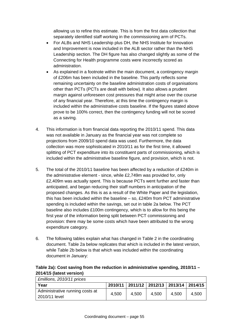allowing us to refine this estimate. This is from the first data collection that separately identified staff working in the commissioning arm of PCTs.

- For ALBs and NHS Leadership plus DH, the NHS Institute for Innovation and Improvement is now included in the ALB sector rather than the NHS Leadership section. The DH figure has also changed slightly as some of the Connecting for Health programme costs were incorrectly scored as administration.
- As explained in a footnote within the main document, a contingency margin of £206m has been included in the baseline. This partly reflects some remaining uncertainty on the baseline administration costs of organisations other than PCTs (PCTs are dealt with below). It also allows a prudent margin against unforeseen cost pressures that might arise over the course of any financial year. Therefore, at this time the contingency margin is included within the administrative costs baseline. If the figures stated above prove to be 100% correct, then the contingency funding will not be scored as a saving.
- 4. This information is from financial data reporting the 2010/11 spend. This data was not available in January as the financial year was not complete so projections from 2009/10 spend data was used. Furthermore, the data collection was more sophisticated in 2010/11 as for the first time, it allowed splitting of PCT expenditure into its constituent parts of commissioning, which is included within the administrative baseline figure, and provision, which is not.
- 5. The total of the 2010/11 baseline has been affected by a reduction of £240m in the administrative element - since, while £2,749m was provided for, only £2,409m was actually spent. This is because PCTs went further and faster than anticipated, and began reducing their staff numbers in anticipation of the proposed changes. As this is as a result of the White Paper and the legislation, this has been included within the baseline – so, £240m from PCT administrative spending is included within the savings, set out in table 2a below. The PCT baseline also includes £100m contingency, which is to allow for this being the first year of the information being split between PCT commissioning and provision: there may be some costs which have been attributed to the wrong expenditure category.
- 6. The following tables explain what has changed in Table 2 in the coordinating document. Table 2a below replicates that which is included in the latest version, while Table 2b below is that which was included within the coordinating document in January:

## **Table 2a): Cost saving from the reduction in administrative spending, 2010/11 – 2014/15 (latest version)**

| £millions, 2010/11 prices                        |         |                                       |       |       |       |
|--------------------------------------------------|---------|---------------------------------------|-------|-------|-------|
| Year                                             | 2010/11 | 2011/12   2012/13   2013/14   2014/15 |       |       |       |
| Administrative running costs at<br>2010/11 level | 4,500   | 4.500                                 | 4,500 | 4,500 | 4,500 |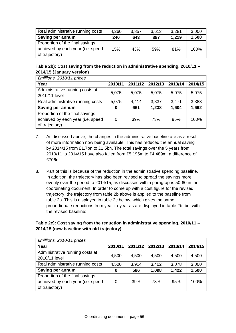| Real administrative running costs | 4,260 | 3,857 | 3,613 | 3,281 | 3,000 |
|-----------------------------------|-------|-------|-------|-------|-------|
| Saving per annum                  | 240   | 643   | 887   | 1.219 | 1,500 |
| Proportion of the final savings   |       |       |       |       |       |
| achieved by each year (i.e. speed | 15%   | 43%   | 59%   | 81%   | 100%  |
| of trajectory)                    |       |       |       |       |       |

## **Table 2b): Cost saving from the reduction in administrative spending, 2010/11 – 2014/15 (January version)**

| £millions, 2010/11 prices                                                              |         |         |         |         |         |
|----------------------------------------------------------------------------------------|---------|---------|---------|---------|---------|
| Year                                                                                   | 2010/11 | 2011/12 | 2012/13 | 2013/14 | 2014/15 |
| Administrative running costs at<br>2010/11 level                                       | 5,075   | 5,075   | 5,075   | 5,075   | 5,075   |
| Real administrative running costs                                                      | 5,075   | 4,414   | 3,837   | 3,471   | 3,383   |
| Saving per annum                                                                       | 0       | 661     | 1,238   | 1,604   | 1,692   |
| Proportion of the final savings<br>achieved by each year (i.e. speed<br>of trajectory) | 0       | 39%     | 73%     | 95%     | 100%    |

- 7. As discussed above, the changes in the administrative baseline are as a result of more information now being available. This has reduced the annual saving by 2014/15 from £1.7bn to £1.5bn. The total savings over the 5 years from 2010/11 to 2014/15 have also fallen from £5,195m to £4,489m, a difference of £706m.
- 8. Part of this is because of the reduction in the administrative spending baseline. In addition, the trajectory has also been revised to spread the savings more evenly over the period to 2014/15, as discussed within paragraphs 50-60 in the coordinating document. In order to come up with a cost figure for the revised trajectory, the trajectory from table 2b above is applied to the baseline from table 2a. This is displayed in table 2c below, which gives the same proportionate reductions from year-to-year as are displayed in table 2b, but with the revised baseline:

## **Table 2c): Cost saving from the reduction in administrative spending, 2010/11 – 2014/15 (new baseline with old trajectory)**

| £millions, 2010/11 prices         |         |         |         |         |         |  |
|-----------------------------------|---------|---------|---------|---------|---------|--|
| Year                              | 2010/11 | 2011/12 | 2012/13 | 2013/14 | 2014/15 |  |
| Administrative running costs at   |         |         |         |         |         |  |
| 2010/11 level                     | 4,500   | 4,500   | 4,500   | 4,500   | 4,500   |  |
| Real administrative running costs | 4,500   | 3,914   | 3,402   | 3,078   | 3,000   |  |
| Saving per annum                  | 0       | 586     | 1,098   | 1,422   | 1,500   |  |
| Proportion of the final savings   |         |         |         |         |         |  |
| achieved by each year (i.e. speed | 0       | 39%     | 73%     | 95%     | 100%    |  |
| of trajectory)                    |         |         |         |         |         |  |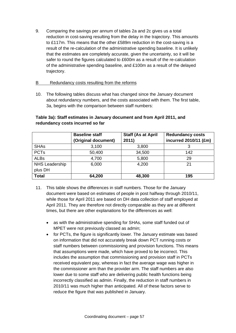9. Comparing the savings per annum of tables 2a and 2c gives us a total reduction in cost-saving resulting from the delay in the trajectory. This amounts to £117m. This means that the other £589m reduction in the cost-saving is a result of the re-calculation of the administrative spending baseline. It is unlikely that the estimates are completely accurate, given the uncertainty, so it will be safer to round the figures calculated to £600m as a result of the re-calculation of the administrative spending baseline, and £100m as a result of the delayed trajectory.

#### B Redundancy costs resulting from the reforms

10. The following tables discuss what has changed since the January document about redundancy numbers, and the costs associated with them. The first table, 3a, begins with the comparison between staff numbers:

|                                  | <b>Baseline staff</b><br>(Original document) | <b>Staff (As at April</b><br>2011) | <b>Redundancy costs</b><br>incurred 2010/11 (£m) |
|----------------------------------|----------------------------------------------|------------------------------------|--------------------------------------------------|
| <b>SHAs</b>                      | 3,100                                        | 3,800                              |                                                  |
| <b>PCTs</b>                      | 50,400                                       | 34,500                             | 142                                              |
| <b>ALBs</b>                      | 4,700                                        | 5,800                              | 29                                               |
| <b>NHS Leadership</b><br>plus DH | 6,000                                        | 4,200                              | 21                                               |
| <b>Total</b>                     | 64,200                                       | 48,300                             | 195                                              |

## **Table 3a): Staff estimates in January document and from April 2011, and redundancy costs incurred so far**

- 11. This table shows the differences in staff numbers. Those for the January document were based on estimates of people in post halfway through 2010/11, while those for April 2011 are based on DH data collection of staff employed at April 2011. They are therefore not directly comparable as they are at different times, but there are other explanations for the differences as well:
	- as with the administrative spending for SHAs, some staff funded out of MPET were not previously classed as admin;
	- for PCTs, the figure is significantly lower. The January estimate was based on information that did not accurately break down PCT running costs or staff numbers between commissioning and provision functions. This means that assumptions were made, which have proved to be incorrect. This includes the assumption that commissioning and provision staff in PCTs received equivalent pay, whereas in fact the average wage was higher in the commissioner arm than the provider arm. The staff numbers are also lower due to some staff who are delivering public health functions being incorrectly classified as admin. Finally, the reduction in staff numbers in 2010/11 was much higher than anticipated. All of these factors serve to reduce the figure that was published in January.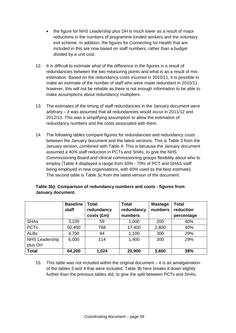- the figure for NHS Leadership plus DH is much lower as a result of major reductions in the numbers of programme funded workers and the voluntary exit scheme. In addition, the figures for Connecting for Health that are included in this are now based on staff numbers, rather than a budget divided by a unit cost.
- 12. It is difficult to estimate what of the difference in the figures is a result of redundancies between the two measuring points and what is as a result of misestimation. Based on the redundancy costs incurred in 2010/11, it is possible to make an estimate of the number of staff who were made redundant in 2010/11: however, this will not be reliable as there is not enough information to be able to make assumptions about redundancy multipliers.
- 13. The estimates of the timing of staff redundancies in the January document were arbitrary – it was assumed that all redundancies would occur in 2011/12 and 2012/13. This was a simplifying assumption to allow the estimation of redundancy numbers and the costs associated with them.
- 14. The following tables compare figures for redundancies and redundancy costs between the January document and the latest versions. This is Table 3 from the January version, combined with Table 4. This is because the January document assumed a 40% staff reduction in PCTs and SHAs, to give the NHS Commissioning Board and clinical commissioning groups flexibility about who to employ (Table 4 displayed a range from 50% - 70% of PCT and SHAS staff being employed in new organisations, with 60% used as the best estimate). The second table is Table 3c from the latest version of the document:

|                       | <b>Baseline</b><br>staff | Total<br>redundancy<br>costs (£m) | <b>Total</b><br>redundancy<br>numbers | Wastage<br>numbers | <b>Total</b><br>reduction<br>percentage |
|-----------------------|--------------------------|-----------------------------------|---------------------------------------|--------------------|-----------------------------------------|
| <b>SHAs</b>           | 3,100                    | 59                                | 1,000                                 | 200                | 40%                                     |
| <b>PCTs</b>           | 50,400                   | 768                               | 17,400                                | 2,800              | 40%                                     |
| <b>ALBs</b>           | 4,700                    | 84                                | 1,100                                 | 300                | 29%                                     |
| <b>NHS Leadership</b> | 6,000                    | 114                               | 1,400                                 | 300                | 29%                                     |
| plus DH               |                          |                                   |                                       |                    |                                         |
| <b>Total</b>          | 64,200                   | 1,024                             | 20,900                                | 3,600              | 38%                                     |

# **Table 3b): Comparison of redundancy numbers and costs - figures from January document.**

15. This table was not included within the original document – it is an amalgamation of the tables 3 and 4 that were included. Table 3b here breaks it down slightly further than the previous tables did, to give the split between PCTs and SHAs.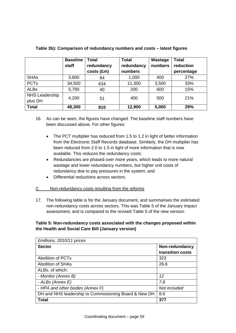|                       | <b>Baseline</b><br>staff | <b>Total</b><br>redundancy<br>costs (£m) | <b>Total</b><br>redundancy<br>numbers | Wastage<br>numbers | <b>Total</b><br>reduction<br>percentage |
|-----------------------|--------------------------|------------------------------------------|---------------------------------------|--------------------|-----------------------------------------|
| <b>SHAs</b>           | 3,800                    | 84                                       | 1,000                                 | 400                | 27%                                     |
| <b>PCTs</b>           | 34,500                   | 634                                      | 11,300                                | 3,500              | 33%                                     |
| <b>ALBs</b>           | 5,700                    | 40                                       | 200                                   | 600                | 15%                                     |
| <b>NHS Leadership</b> | 4,200                    | 51                                       | 400                                   | 500                | 21%                                     |
| plus DH               |                          |                                          |                                       |                    |                                         |
| <b>Total</b>          | 48,300                   | 810                                      | 12,900                                | 5,000              | 29%                                     |

## **Table 3b): Comparison of redundancy numbers and costs – latest figures**

- 16. As can be seen, the figures have changed. The baseline staff numbers have been discussed above. For other figures:
	- The PCT multiplier has reduced from 1.5 to 1.2 in light of better information from the Electronic Staff Records database. Similarly, the DH multiplier has been reduced from 2.0 to 1.5 in light of more information that is now available. This reduces the redundancy costs;
	- Redundancies are phased over more years, which leads to more natural wastage and lower redundancy numbers, but higher unit costs of redundancy doe to pay pressures in the system; and
	- Differential reductions across sectors.

## C Non-redundancy costs resulting from the reforms

17. The following table is for the January document, and summarises the estimated non-redundancy costs across sectors. This was Table 5 of the January impact assessment, and is compared to the revised Table 5 of the new version:

## **Table 5: Non-redundancy costs associated with the changes proposed within the Health and Social Care Bill (January version)**

| £millions, 2010/11 prices                             |                  |
|-------------------------------------------------------|------------------|
| <b>Sector</b>                                         | Non-redundancy   |
|                                                       | transition costs |
| <b>Abolition of PCTs</b>                              | 323              |
| <b>Abolition of SHAs</b>                              | 26.6             |
| ALBs, of which:                                       |                  |
| - Monitor (Annex B)                                   | 12               |
| - ALBs (Annex E)                                      | 7.8              |
| - HPA and other bodies (Annex F)                      | Not included     |
| DH and NHS leadership to Commissioning Board & New DH | 8.6              |
| <b>Total</b>                                          | 377              |